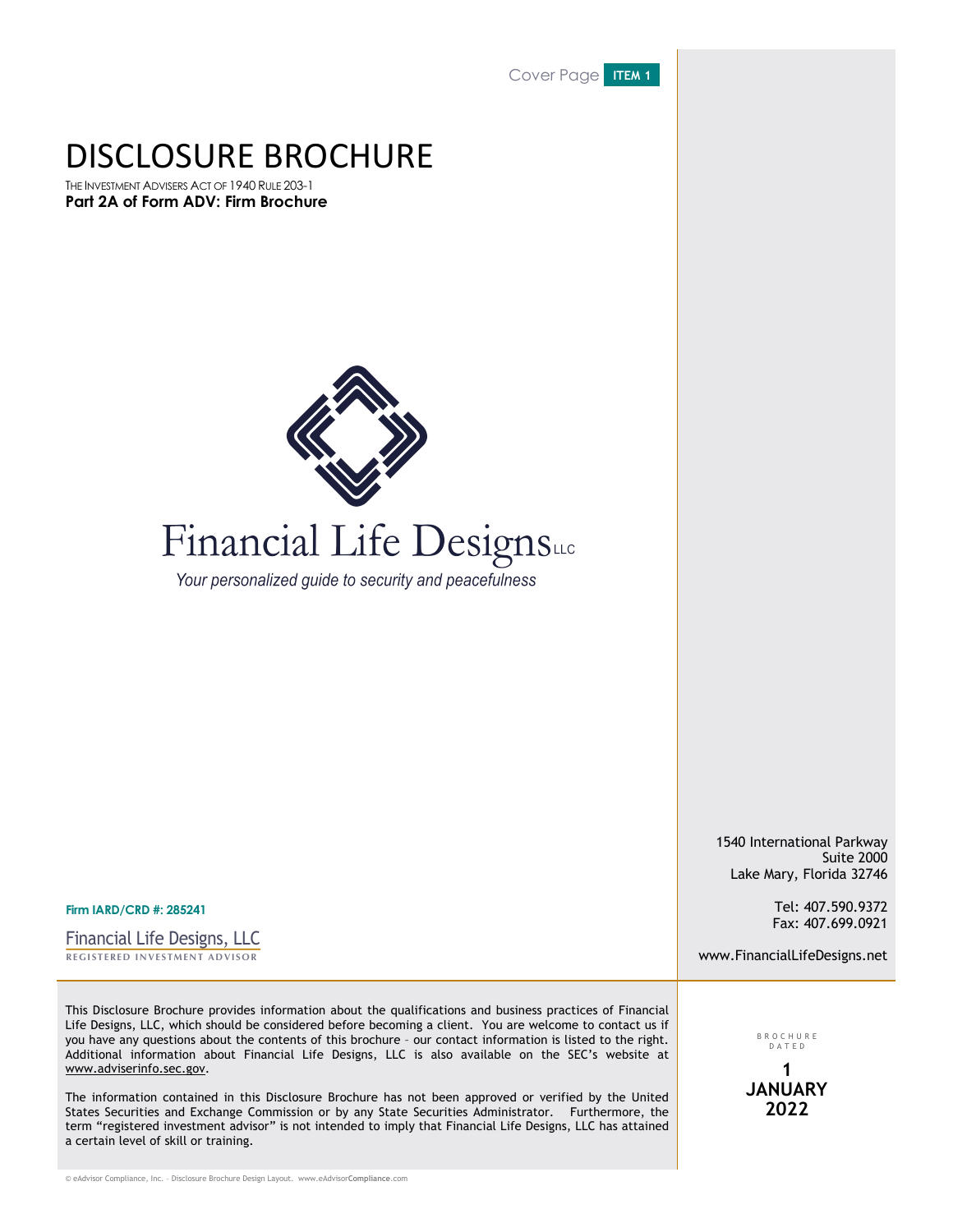Cover Page **ITEM 1**

## DISCLOSURE BROCHURE

THE INVESTMENT ADVISERS ACT OF 1940 RULE 203-1 **Part 2A of Form ADV: Firm Brochure**



# Financial Life Designsus

Your personalized guide to security and peacefulness

1540 International Parkway Suite 2000 Lake Mary, Florida 32746

> Tel: 407.590.9372 Fax: 407.699.0921

www.FinancialLifeDesigns.net

This Disclosure Brochure provides information about the qualifications and business practices of Financial Life Designs, LLC, which should be considered before becoming a client. You are welcome to contact us if you have any questions about the contents of this brochure – our contact information is listed to the right. Additional information about Financial Life Designs, LLC is also available on the SEC's website at www.adviserinfo.sec.gov.

The information contained in this Disclosure Brochure has not been approved or verified by the United States Securities and Exchange Commission or by any State Securities Administrator. Furthermore, the term "registered investment advisor" is not intended to imply that Financial Life Designs, LLC has attained a certain level of skill or training.

© eAdvisor Compliance, Inc. – Disclosure Brochure Design Layout. www.eAdvisor**Compliance**.com

**Firm IARD/CRD #: 285241**

**REGISTERED INVESTMENT ADVISOR** Financial Life Designs, LLC

> DATE D **1 JANUARY 2022**

BROCHUR E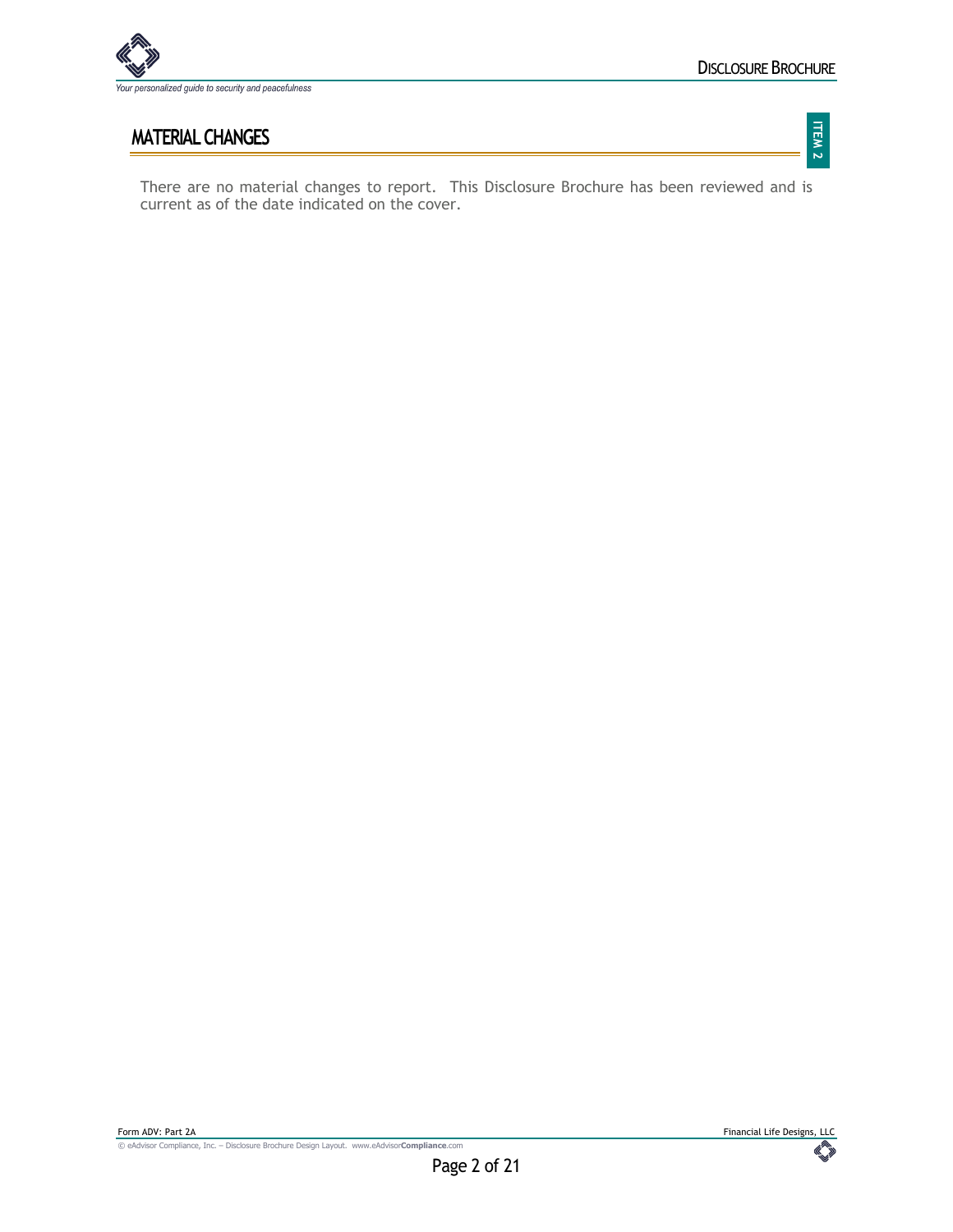

## **MATERIAL CHANGES**

There are no material changes to report. This Disclosure Brochure has been reviewed and is current as of the date indicated on the cover.

 $\mathbb{C}$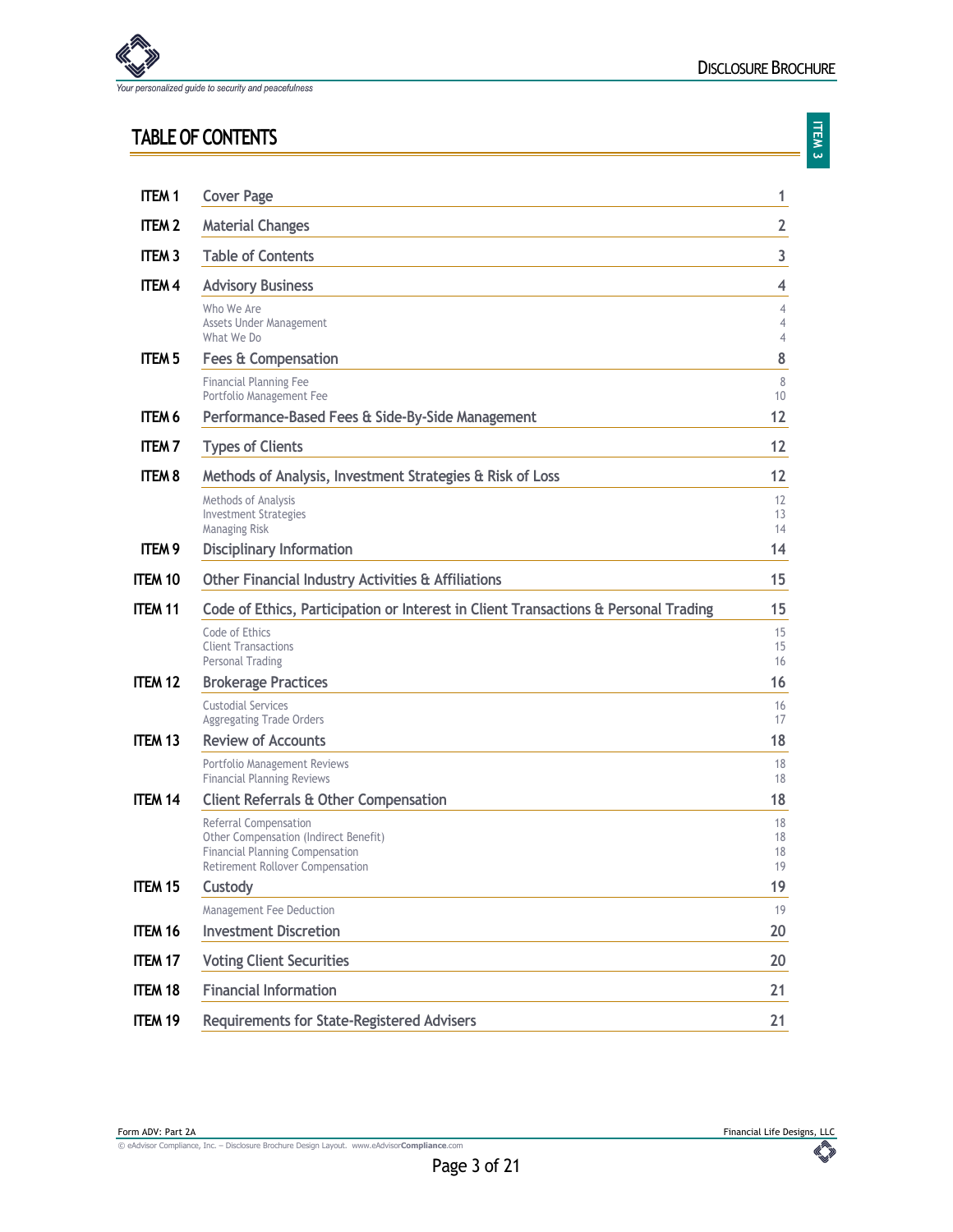

## **TABLE OF CONTENTS**

| <b>ITEM1</b>      | <b>Cover Page</b>                                                                                                                            | 1                        |
|-------------------|----------------------------------------------------------------------------------------------------------------------------------------------|--------------------------|
| <b>ITEM 2</b>     | <b>Material Changes</b>                                                                                                                      | $\overline{2}$           |
| <b>ITEM 3</b>     | <b>Table of Contents</b>                                                                                                                     | 3                        |
| ITEM <sub>4</sub> | <b>Advisory Business</b>                                                                                                                     | 4                        |
|                   | Who We Are<br>Assets Under Management<br>What We Do                                                                                          | 4<br>$\overline{4}$<br>4 |
| <b>ITEM 5</b>     | <b>Fees &amp; Compensation</b>                                                                                                               | 8                        |
|                   | <b>Financial Planning Fee</b><br>Portfolio Management Fee                                                                                    | 8<br>10                  |
| ITEM <sub>6</sub> | Performance-Based Fees & Side-By-Side Management                                                                                             | 12                       |
| <b>ITEM7</b>      | <b>Types of Clients</b>                                                                                                                      | 12                       |
| <b>ITEM 8</b>     | Methods of Analysis, Investment Strategies & Risk of Loss                                                                                    | 12                       |
|                   | Methods of Analysis<br><b>Investment Strategies</b><br>Managing Risk                                                                         | 12<br>13<br>14           |
| ITEM <sub>9</sub> | <b>Disciplinary Information</b>                                                                                                              | 14                       |
| <b>ITEM 10</b>    | Other Financial Industry Activities & Affiliations                                                                                           | 15                       |
| <b>ITEM 11</b>    | Code of Ethics, Participation or Interest in Client Transactions & Personal Trading                                                          | 15                       |
|                   | Code of Ethics<br><b>Client Transactions</b><br>Personal Trading                                                                             | 15<br>15<br>16           |
| <b>ITEM 12</b>    | <b>Brokerage Practices</b>                                                                                                                   | 16                       |
|                   | <b>Custodial Services</b><br><b>Aggregating Trade Orders</b>                                                                                 | 16<br>17                 |
| <b>ITEM 13</b>    | <b>Review of Accounts</b>                                                                                                                    | 18                       |
|                   | Portfolio Management Reviews<br><b>Financial Planning Reviews</b>                                                                            | 18<br>18                 |
| <b>ITEM 14</b>    | <b>Client Referrals &amp; Other Compensation</b>                                                                                             | 18                       |
|                   | Referral Compensation<br>Other Compensation (Indirect Benefit)<br><b>Financial Planning Compensation</b><br>Retirement Rollover Compensation | 18<br>18<br>18<br>19     |
| <b>ITEM 15</b>    | Custody                                                                                                                                      | 19                       |
|                   | Management Fee Deduction                                                                                                                     | 19                       |
| <b>ITEM 16</b>    | <b>Investment Discretion</b>                                                                                                                 | 20                       |
| <b>ITEM 17</b>    | <b>Voting Client Securities</b>                                                                                                              | 20                       |
| <b>ITEM 18</b>    | <b>Financial Information</b>                                                                                                                 | 21                       |
| <b>ITEM 19</b>    | <b>Requirements for State-Registered Advisers</b>                                                                                            | 21                       |

© eAdvisor Compliance, Inc. – Disclosure Brochure Design Layout. www.eAdvisor**Compliance**.com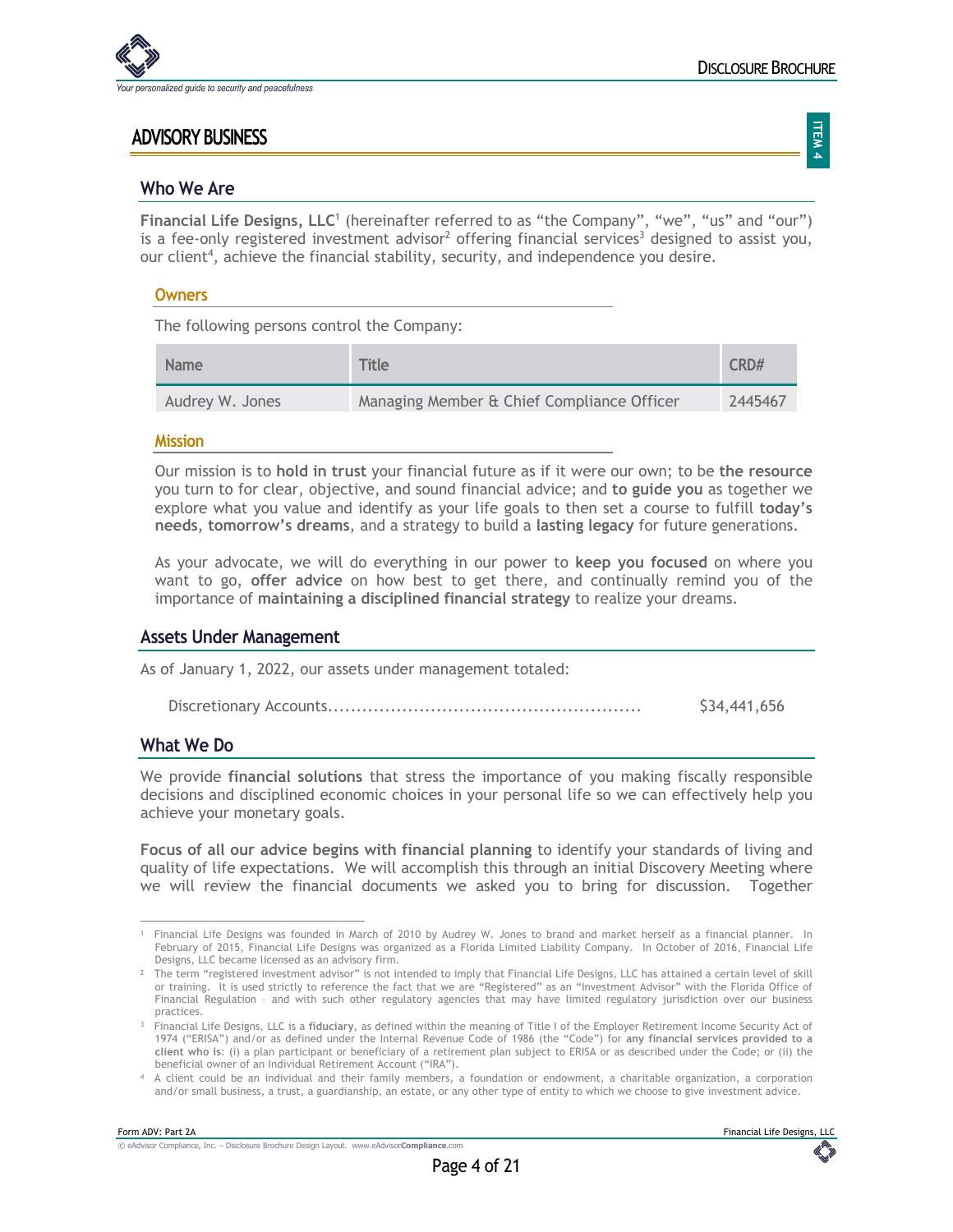

## **ADVISORY BUSINESS**

**ITEM 4**

#### **Who We Are**

**Financial Life Designs, LLC**<sup>1</sup> (hereinafter referred to as "the Company", "we", "us" and "our") is a fee-only registered investment advisor<sup>2</sup> offering financial services<sup>3</sup> designed to assist you, our client<sup>4</sup>, achieve the financial stability, security, and independence you desire.

#### **Owners**

The following persons control the Company:

| <b>Name</b>     | <b>Title</b>                               | CRD#    |
|-----------------|--------------------------------------------|---------|
| Audrey W. Jones | Managing Member & Chief Compliance Officer | 2445467 |

#### **Mission**

Our mission is to **hold in trust** your financial future as if it were our own; to be **the resource** you turn to for clear, objective, and sound financial advice; and **to guide you** as together we explore what you value and identify as your life goals to then set a course to fulfill **today's needs**, **tomorrow's dreams**, and a strategy to build a **lasting legacy** for future generations.

As your advocate, we will do everything in our power to **keep you focused** on where you want to go, **offer advice** on how best to get there, and continually remind you of the importance of **maintaining a disciplined financial strategy** to realize your dreams.

#### **Assets Under Management**

As of January 1, 2022, our assets under management totaled:

|  | \$34,441,656 |
|--|--------------|
|--|--------------|

#### **What We Do**

We provide **financial solutions** that stress the importance of you making fiscally responsible decisions and disciplined economic choices in your personal life so we can effectively help you achieve your monetary goals.

**Focus of all our advice begins with financial planning** to identify your standards of living and quality of life expectations. We will accomplish this through an initial Discovery Meeting where we will review the financial documents we asked you to bring for discussion. Together

<sup>1</sup> Financial Life Designs was founded in March of 2010 by Audrey W. Jones to brand and market herself as a financial planner. In February of 2015, Financial Life Designs was organized as a Florida Limited Liability Company. In October of 2016, Financial Life Designs, LLC became licensed as an advisory firm.

<sup>&</sup>lt;sup>2</sup> The term "registered investment advisor" is not intended to imply that Financial Life Designs, LLC has attained a certain level of skill or training. It is used strictly to reference the fact that we are "Registered" as an "Investment Advisor" with the Florida Office of Financial Regulation – and with such other regulatory agencies that may have limited regulatory jurisdiction over our business practices.

<sup>3</sup> Financial Life Designs, LLC is a **fiduciary**, as defined within the meaning of Title I of the Employer Retirement Income Security Act of 1974 ("ERISA") and/or as defined under the Internal Revenue Code of 1986 (the "Code") for **any financial services provided to a client who is**: (i) a plan participant or beneficiary of a retirement plan subject to ERISA or as described under the Code; or (ii) the beneficial owner of an Individual Retirement Account ("IRA").

<sup>4</sup> A client could be an individual and their family members, a foundation or endowment, a charitable organization, a corporation and/or small business, a trust, a guardianship, an estate, or any other type of entity to which we choose to give investment advice.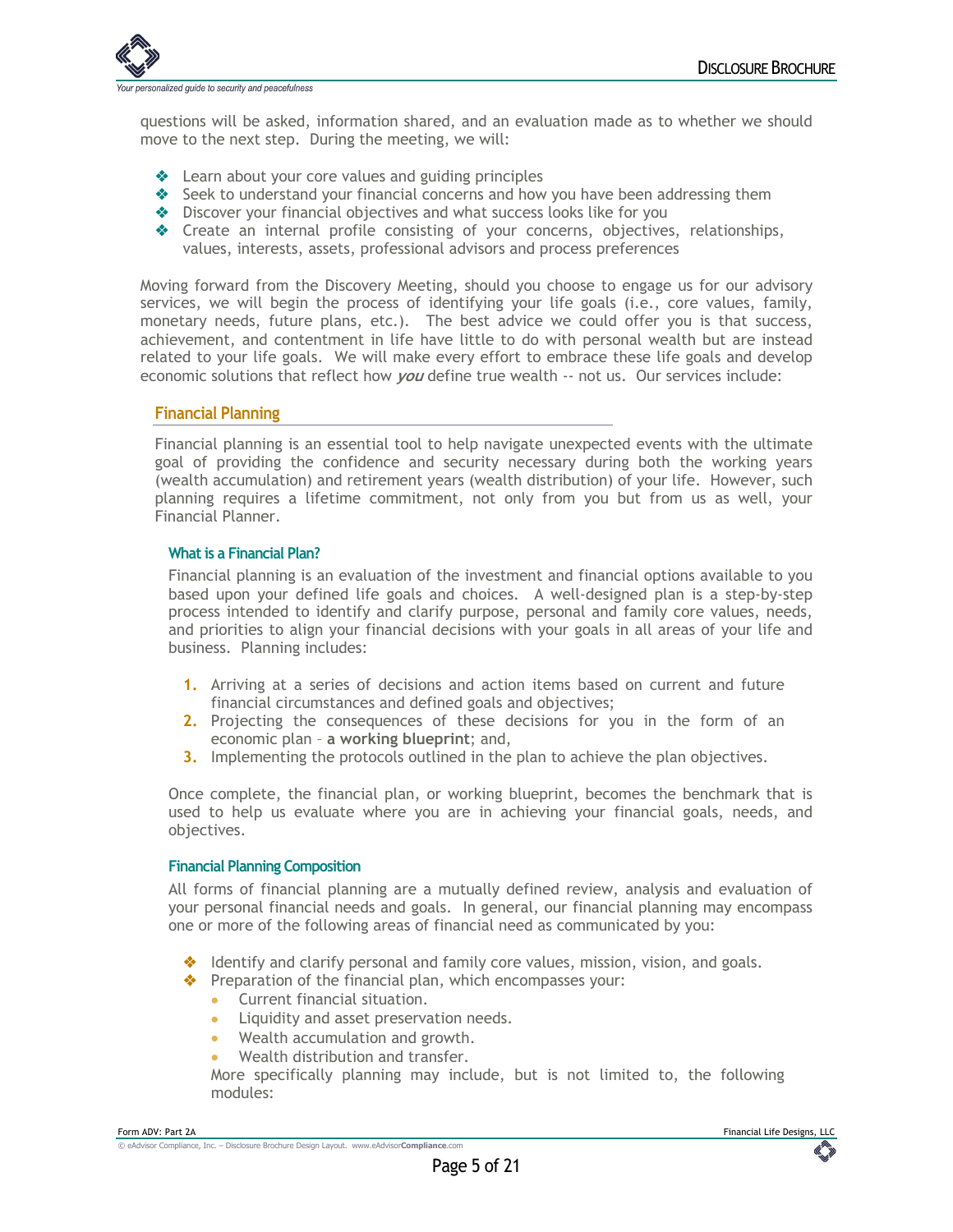

questions will be asked, information shared, and an evaluation made as to whether we should move to the next step. During the meeting, we will:

- $\triangle$  Learn about your core values and guiding principles
- $\triangle$  Seek to understand your financial concerns and how you have been addressing them
- $\triangleq$  Discover your financial objectives and what success looks like for you
- v Create an internal profile consisting of your concerns, objectives, relationships, values, interests, assets, professional advisors and process preferences

Moving forward from the Discovery Meeting, should you choose to engage us for our advisory services, we will begin the process of identifying your life goals (i.e., core values, family, monetary needs, future plans, etc.). The best advice we could offer you is that success, achievement, and contentment in life have little to do with personal wealth but are instead related to your life goals. We will make every effort to embrace these life goals and develop economic solutions that reflect how **you** define true wealth -- not us. Our services include:

#### **Financial Planning**

Financial planning is an essential tool to help navigate unexpected events with the ultimate goal of providing the confidence and security necessary during both the working years (wealth accumulation) and retirement years (wealth distribution) of your life. However, such planning requires a lifetime commitment, not only from you but from us as well, your Financial Planner.

#### **What is a Financial Plan?**

Financial planning is an evaluation of the investment and financial options available to you based upon your defined life goals and choices. A well-designed plan is a step-by-step process intended to identify and clarify purpose, personal and family core values, needs, and priorities to align your financial decisions with your goals in all areas of your life and business. Planning includes:

- **1.** Arriving at a series of decisions and action items based on current and future financial circumstances and defined goals and objectives;
- **2.** Projecting the consequences of these decisions for you in the form of an economic plan – **a working blueprint**; and,
- **3.** Implementing the protocols outlined in the plan to achieve the plan objectives.

Once complete, the financial plan, or working blueprint, becomes the benchmark that is used to help us evaluate where you are in achieving your financial goals, needs, and objectives.

#### **Financial Planning Composition**

All forms of financial planning are a mutually defined review, analysis and evaluation of your personal financial needs and goals. In general, our financial planning may encompass one or more of the following areas of financial need as communicated by you:

 $\triangleq$  Identify and clarify personal and family core values, mission, vision, and goals.

 $\triangleq$  Preparation of the financial plan, which encompasses your:

- Current financial situation.
- Liquidity and asset preservation needs.
- Wealth accumulation and growth.
- Wealth distribution and transfer.

More specifically planning may include, but is not limited to, the following modules: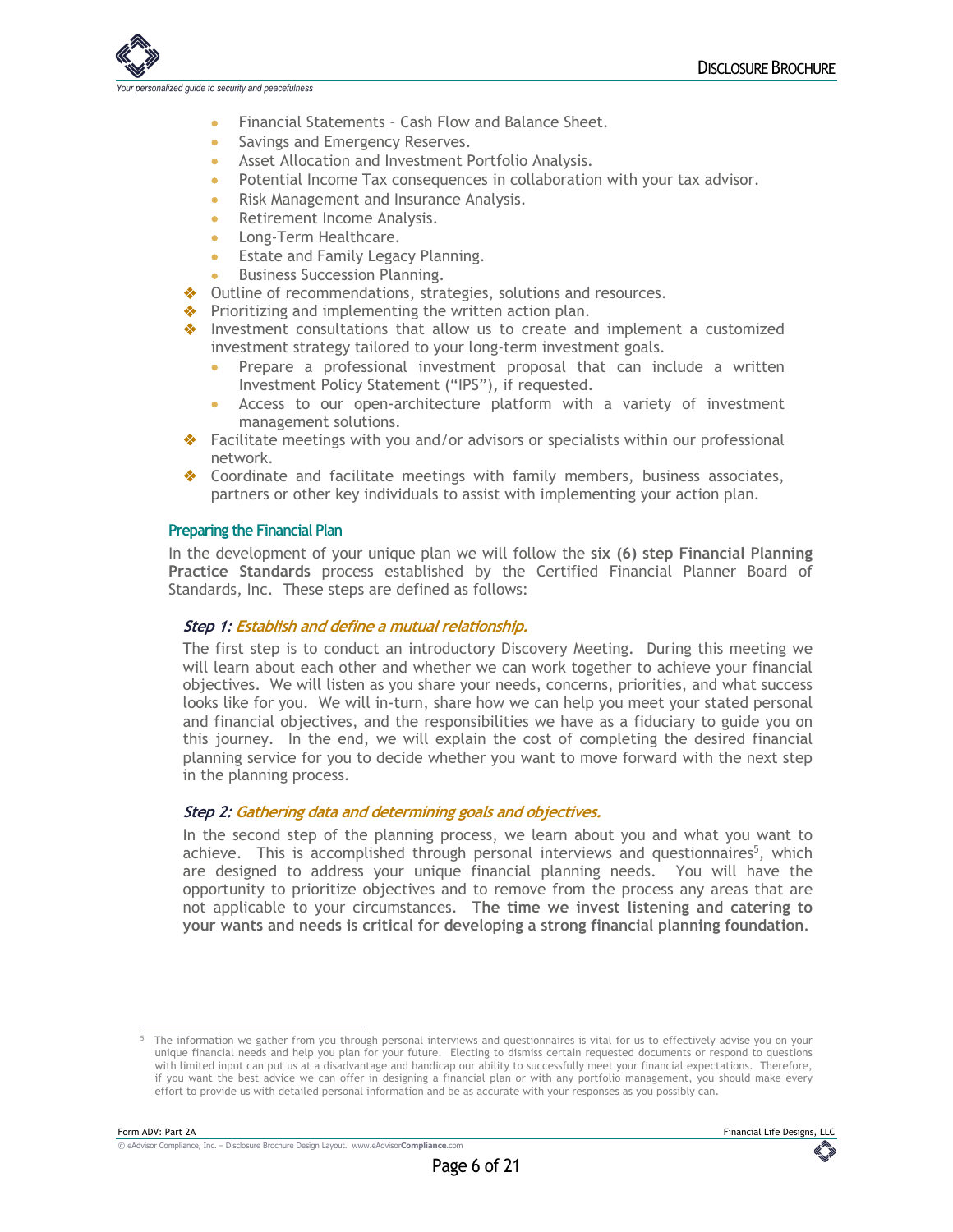nalized quide to security and peacefulness

- Financial Statements Cash Flow and Balance Sheet.
- Savings and Emergency Reserves.
- Asset Allocation and Investment Portfolio Analysis.
- Potential Income Tax consequences in collaboration with your tax advisor.
- Risk Management and Insurance Analysis.
- Retirement Income Analysis.
- Long-Term Healthcare.
- Estate and Family Legacy Planning.
- Business Succession Planning.
- Outline of recommendations, strategies, solutions and resources.
- Prioritizing and implementing the written action plan.
- $\triangleq$  Investment consultations that allow us to create and implement a customized investment strategy tailored to your long-term investment goals.
	- Prepare a professional investment proposal that can include a written Investment Policy Statement ("IPS"), if requested.
	- Access to our open-architecture platform with a variety of investment management solutions.
- Facilitate meetings with you and/or advisors or specialists within our professional network.
- Coordinate and facilitate meetings with family members, business associates, partners or other key individuals to assist with implementing your action plan.

#### **Preparing the Financial Plan**

In the development of your unique plan we will follow the **six (6) step Financial Planning Practice Standards** process established by the Certified Financial Planner Board of Standards, Inc. These steps are defined as follows:

#### **Step 1: Establish and define a mutual relationship.**

The first step is to conduct an introductory Discovery Meeting. During this meeting we will learn about each other and whether we can work together to achieve your financial objectives. We will listen as you share your needs, concerns, priorities, and what success looks like for you. We will in-turn, share how we can help you meet your stated personal and financial objectives, and the responsibilities we have as a fiduciary to guide you on this journey. In the end, we will explain the cost of completing the desired financial planning service for you to decide whether you want to move forward with the next step in the planning process.

#### **Step 2: Gathering data and determining goals and objectives.**

In the second step of the planning process, we learn about you and what you want to achieve. This is accomplished through personal interviews and questionnaires<sup>5</sup>, which are designed to address your unique financial planning needs. You will have the opportunity to prioritize objectives and to remove from the process any areas that are not applicable to your circumstances. **The time we invest listening and catering to your wants and needs is critical for developing a strong financial planning foundation**.

<sup>&</sup>lt;sup>5</sup> The information we gather from you through personal interviews and questionnaires is vital for us to effectively advise you on your unique financial needs and help you plan for your future. Electing to dismiss certain requested documents or respond to questions with limited input can put us at a disadvantage and handicap our ability to successfully meet your financial expectations. Therefore, if you want the best advice we can offer in designing a financial plan or with any portfolio management, you should make every effort to provide us with detailed personal information and be as accurate with your responses as you possibly can.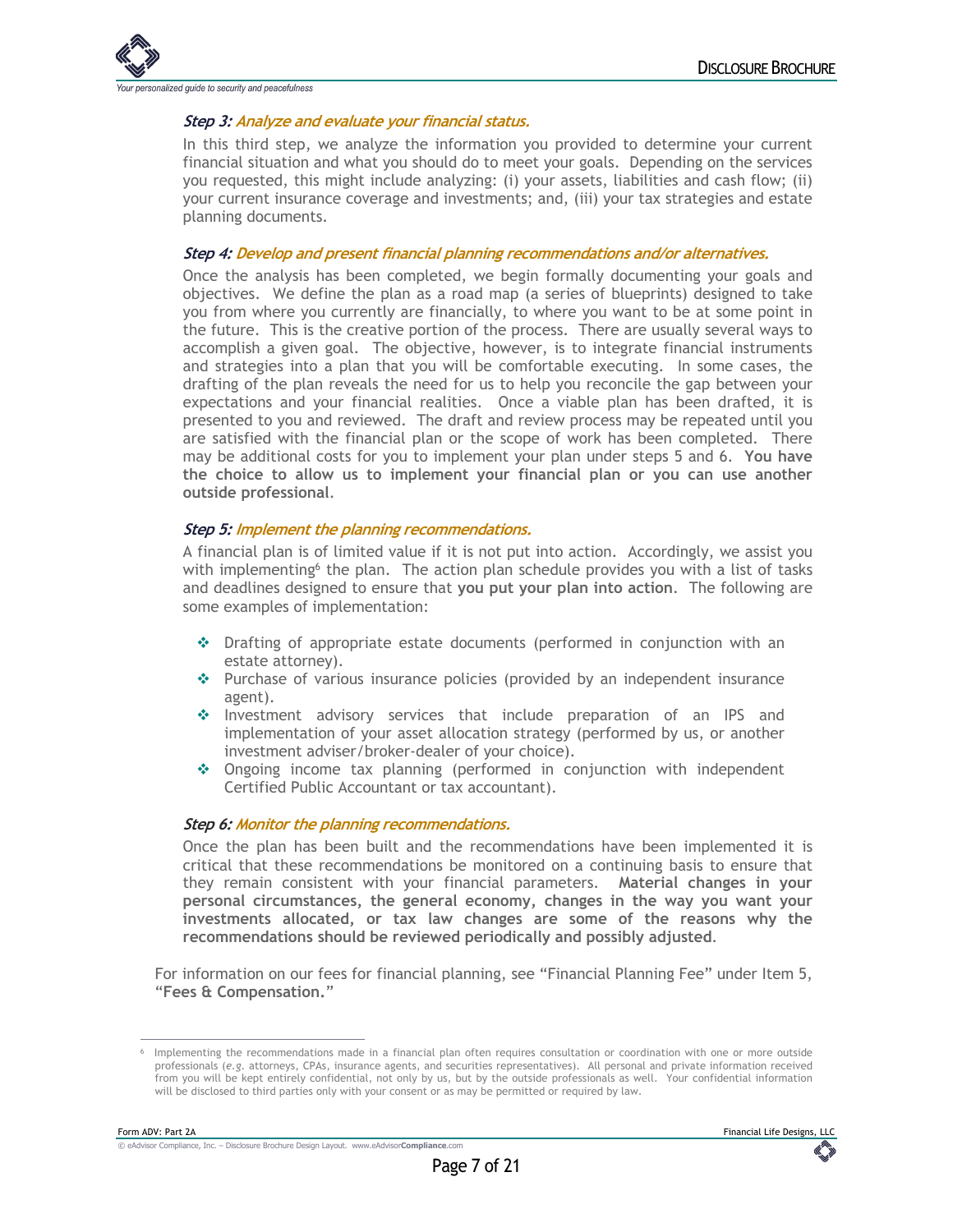

#### **Step 3: Analyze and evaluate your financial status.**

In this third step, we analyze the information you provided to determine your current financial situation and what you should do to meet your goals. Depending on the services you requested, this might include analyzing: (i) your assets, liabilities and cash flow; (ii) your current insurance coverage and investments; and, (iii) your tax strategies and estate planning documents.

#### **Step 4: Develop and present financial planning recommendations and/or alternatives.**

Once the analysis has been completed, we begin formally documenting your goals and objectives. We define the plan as a road map (a series of blueprints) designed to take you from where you currently are financially, to where you want to be at some point in the future. This is the creative portion of the process. There are usually several ways to accomplish a given goal. The objective, however, is to integrate financial instruments and strategies into a plan that you will be comfortable executing. In some cases, the drafting of the plan reveals the need for us to help you reconcile the gap between your expectations and your financial realities. Once a viable plan has been drafted, it is presented to you and reviewed. The draft and review process may be repeated until you are satisfied with the financial plan or the scope of work has been completed. There may be additional costs for you to implement your plan under steps 5 and 6. **You have the choice to allow us to implement your financial plan or you can use another outside professional**.

#### **Step 5: Implement the planning recommendations.**

A financial plan is of limited value if it is not put into action. Accordingly, we assist you with implementing<sup>6</sup> the plan. The action plan schedule provides you with a list of tasks and deadlines designed to ensure that **you put your plan into action**. The following are some examples of implementation:

- $\cdot$  Drafting of appropriate estate documents (performed in conjunction with an estate attorney).
- $\cdot$  Purchase of various insurance policies (provided by an independent insurance agent).
- $\cdot$  Investment advisory services that include preparation of an IPS and implementation of your asset allocation strategy (performed by us, or another investment adviser/broker-dealer of your choice).
- $\cdot$  Ongoing income tax planning (performed in conjunction with independent Certified Public Accountant or tax accountant).

#### **Step 6: Monitor the planning recommendations.**

Once the plan has been built and the recommendations have been implemented it is critical that these recommendations be monitored on a continuing basis to ensure that they remain consistent with your financial parameters. **Material changes in your personal circumstances, the general economy, changes in the way you want your investments allocated, or tax law changes are some of the reasons why the recommendations should be reviewed periodically and possibly adjusted**.

For information on our fees for financial planning, see "Financial Planning Fee" under Item 5, "**Fees & Compensation.**"

Implementing the recommendations made in a financial plan often requires consultation or coordination with one or more outside professionals (*e.g*. attorneys, CPAs, insurance agents, and securities representatives). All personal and private information received from you will be kept entirely confidential, not only by us, but by the outside professionals as well. Your confidential information will be disclosed to third parties only with your consent or as may be permitted or required by law.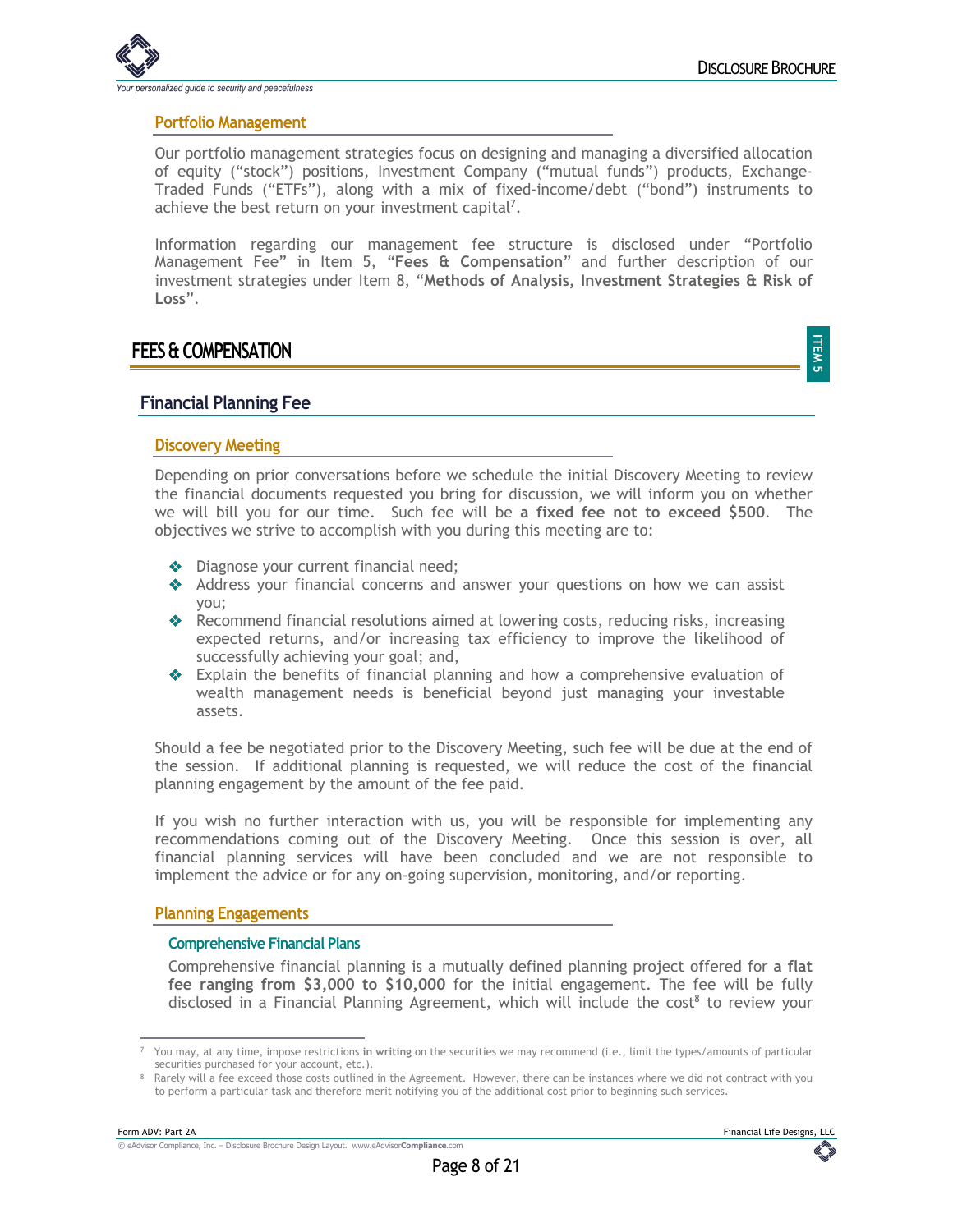

**Portfolio Management**

Our portfolio management strategies focus on designing and managing a diversified allocation of equity ("stock") positions, Investment Company ("mutual funds") products, Exchange-Traded Funds ("ETFs"), along with a mix of fixed-income/debt ("bond") instruments to achieve the best return on your investment capital<sup>7</sup>.

Information regarding our management fee structure is disclosed under "Portfolio Management Fee" in Item 5, "**Fees & Compensation**" and further description of our investment strategies under Item 8, "**Methods of Analysis, Investment Strategies & Risk of Loss**".

## **FEES & COMPENSATION**

**ITEM 5**

#### **Financial Planning Fee**

#### **Discovery Meeting**

Depending on prior conversations before we schedule the initial Discovery Meeting to review the financial documents requested you bring for discussion, we will inform you on whether we will bill you for our time. Such fee will be **a fixed fee not to exceed \$500**. The objectives we strive to accomplish with you during this meeting are to:

- **Diagnose your current financial need;**
- \* Address your financial concerns and answer your questions on how we can assist you;
- ◆ Recommend financial resolutions aimed at lowering costs, reducing risks, increasing expected returns, and/or increasing tax efficiency to improve the likelihood of successfully achieving your goal; and,
- $\triangle$  Explain the benefits of financial planning and how a comprehensive evaluation of wealth management needs is beneficial beyond just managing your investable assets.

Should a fee be negotiated prior to the Discovery Meeting, such fee will be due at the end of the session. If additional planning is requested, we will reduce the cost of the financial planning engagement by the amount of the fee paid.

If you wish no further interaction with us, you will be responsible for implementing any recommendations coming out of the Discovery Meeting. Once this session is over, all financial planning services will have been concluded and we are not responsible to implement the advice or for any on-going supervision, monitoring, and/or reporting.

#### **Planning Engagements**

#### **Comprehensive Financial Plans**

Comprehensive financial planning is a mutually defined planning project offered for **a flat fee ranging from \$3,000 to \$10,000** for the initial engagement. The fee will be fully disclosed in a Financial Planning Agreement, which will include the cost<sup>8</sup> to review your

<sup>7</sup> You may, at any time, impose restrictions **in writing** on the securities we may recommend (i.e., limit the types/amounts of particular securities purchased for your account, etc.).

<sup>8</sup> Rarely will a fee exceed those costs outlined in the Agreement. However, there can be instances where we did not contract with you to perform a particular task and therefore merit notifying you of the additional cost prior to beginning such services.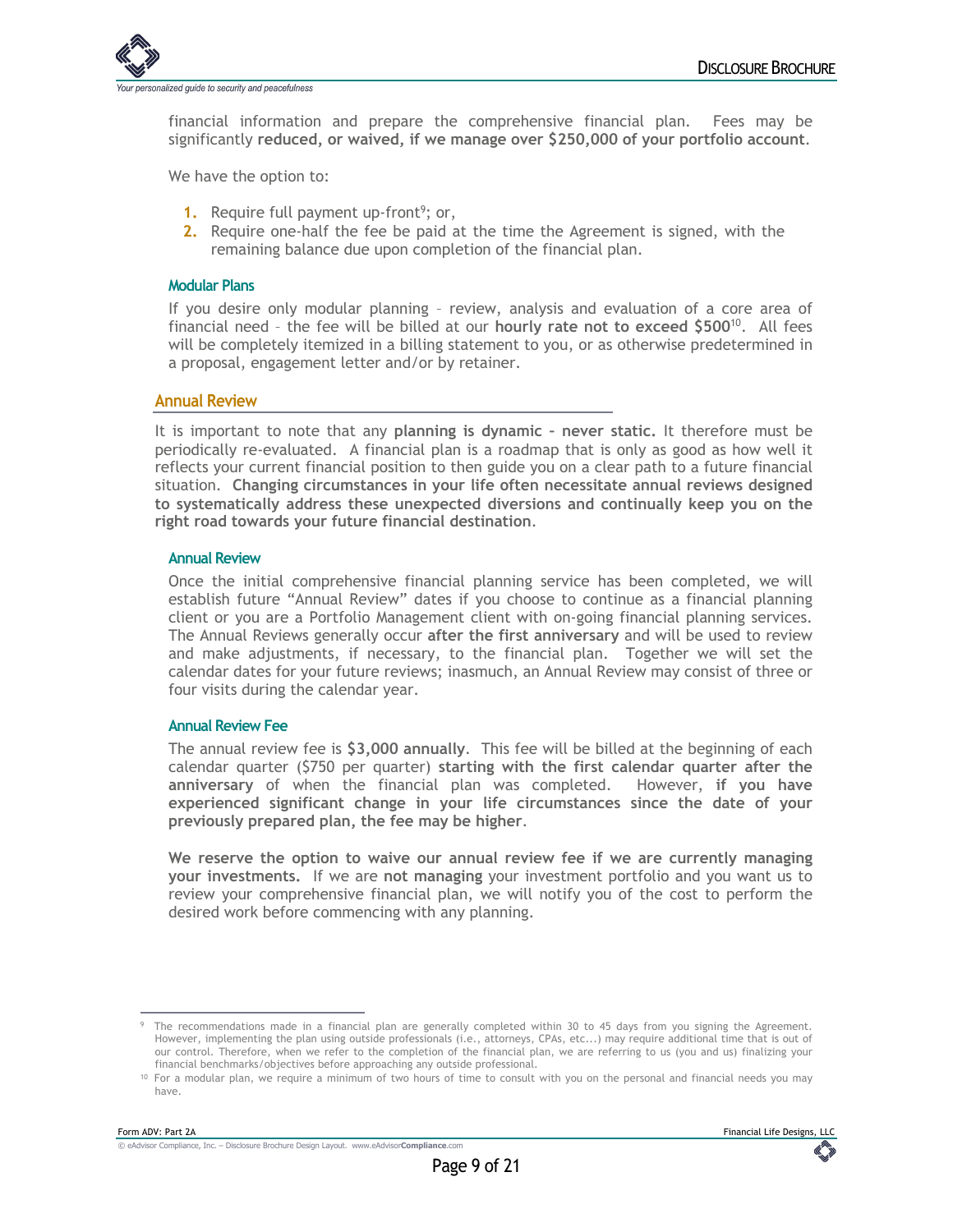

financial information and prepare the comprehensive financial plan. Fees may be significantly **reduced, or waived, if we manage over \$250,000 of your portfolio account**.

We have the option to:

- 1. Require full payment up-front<sup>9</sup>; or,
- **2.** Require one-half the fee be paid at the time the Agreement is signed, with the remaining balance due upon completion of the financial plan.

#### **Modular Plans**

If you desire only modular planning – review, analysis and evaluation of a core area of financial need – the fee will be billed at our **hourly rate not to exceed \$500**10. All fees will be completely itemized in a billing statement to you, or as otherwise predetermined in a proposal, engagement letter and/or by retainer.

#### **Annual Review**

It is important to note that any **planning is dynamic – never static.** It therefore must be periodically re-evaluated. A financial plan is a roadmap that is only as good as how well it reflects your current financial position to then guide you on a clear path to a future financial situation. **Changing circumstances in your life often necessitate annual reviews designed to systematically address these unexpected diversions and continually keep you on the right road towards your future financial destination**.

#### **Annual Review**

Once the initial comprehensive financial planning service has been completed, we will establish future "Annual Review" dates if you choose to continue as a financial planning client or you are a Portfolio Management client with on-going financial planning services. The Annual Reviews generally occur **after the first anniversary** and will be used to review and make adjustments, if necessary, to the financial plan. Together we will set the calendar dates for your future reviews; inasmuch, an Annual Review may consist of three or four visits during the calendar year.

#### **Annual Review Fee**

The annual review fee is **\$3,000 annually**. This fee will be billed at the beginning of each calendar quarter (\$750 per quarter) **starting with the first calendar quarter after the anniversary** of when the financial plan was completed. However, **if you have experienced significant change in your life circumstances since the date of your previously prepared plan, the fee may be higher**.

**We reserve the option to waive our annual review fee if we are currently managing your investments.** If we are **not managing** your investment portfolio and you want us to review your comprehensive financial plan, we will notify you of the cost to perform the desired work before commencing with any planning.

<sup>&</sup>lt;sup>9</sup> The recommendations made in a financial plan are generally completed within 30 to 45 days from you signing the Agreement. However, implementing the plan using outside professionals (i.e., attorneys, CPAs, etc...) may require additional time that is out of our control. Therefore, when we refer to the completion of the financial plan, we are referring to us (you and us) finalizing your financial benchmarks/objectives before approaching any outside professional.

<sup>10</sup> For a modular plan, we require a minimum of two hours of time to consult with you on the personal and financial needs you may have.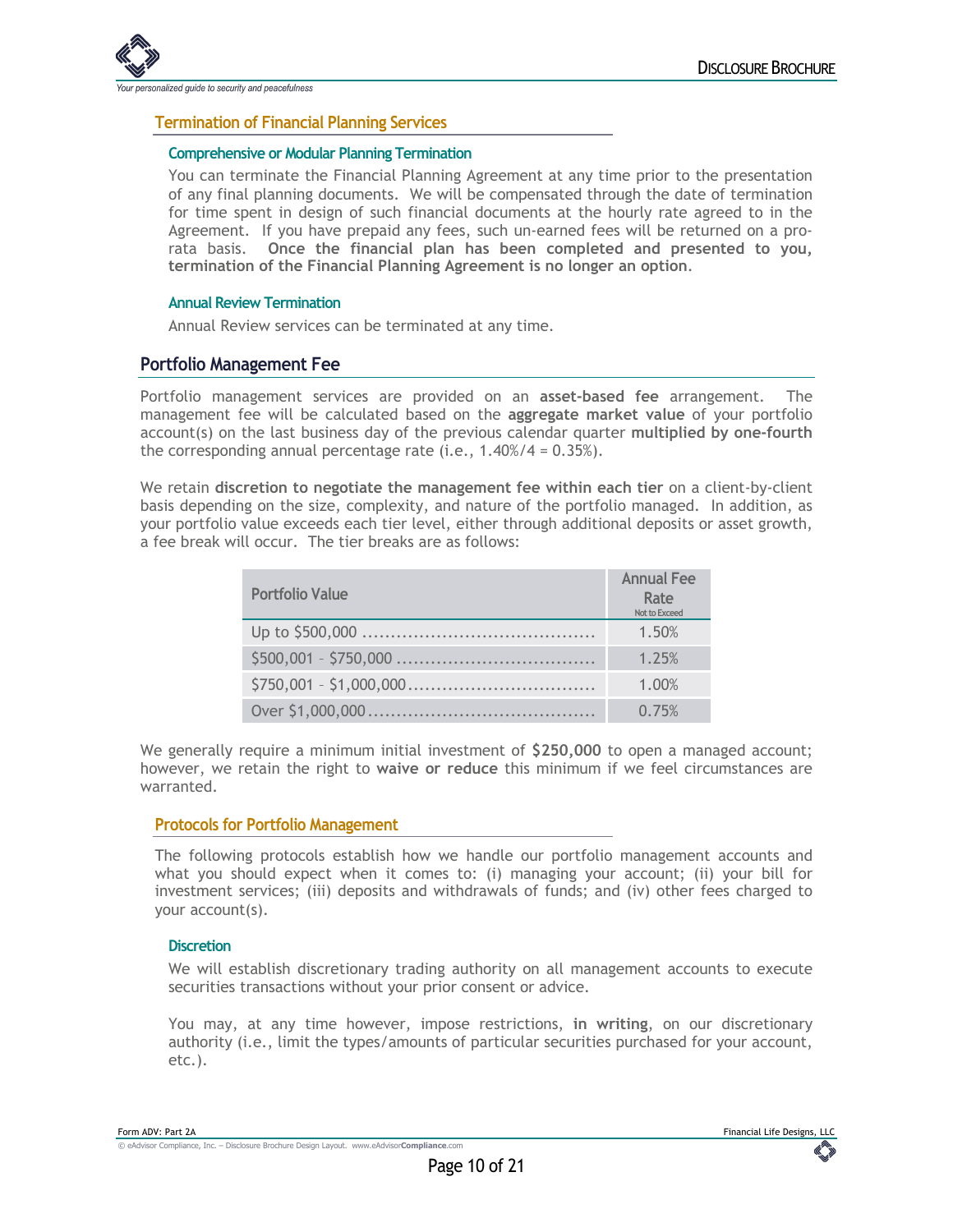

#### **Termination of Financial Planning Services**

#### **Comprehensive or Modular Planning Termination**

You can terminate the Financial Planning Agreement at any time prior to the presentation of any final planning documents. We will be compensated through the date of termination for time spent in design of such financial documents at the hourly rate agreed to in the Agreement. If you have prepaid any fees, such un-earned fees will be returned on a prorata basis. **Once the financial plan has been completed and presented to you, termination of the Financial Planning Agreement is no longer an option**.

#### **Annual Review Termination**

Annual Review services can be terminated at any time.

#### **Portfolio Management Fee**

Portfolio management services are provided on an **asset-based fee** arrangement. The management fee will be calculated based on the **aggregate market value** of your portfolio account(s) on the last business day of the previous calendar quarter **multiplied by one-fourth** the corresponding annual percentage rate (i.e.,  $1.40\%/4 = 0.35\%$ ).

We retain **discretion to negotiate the management fee within each tier** on a client-by-client basis depending on the size, complexity, and nature of the portfolio managed. In addition, as your portfolio value exceeds each tier level, either through additional deposits or asset growth, a fee break will occur. The tier breaks are as follows:

| <b>Portfolio Value</b> | <b>Annual Fee</b><br>Rate<br>Not to Exceed |
|------------------------|--------------------------------------------|
|                        | 1.50%                                      |
|                        | 1.25%                                      |
|                        | 1.00%                                      |
|                        | 0.75%                                      |

We generally require a minimum initial investment of **\$250,000** to open a managed account; however, we retain the right to **waive or reduce** this minimum if we feel circumstances are warranted.

#### **Protocols for Portfolio Management**

The following protocols establish how we handle our portfolio management accounts and what you should expect when it comes to: (i) managing your account; (ii) your bill for investment services; (iii) deposits and withdrawals of funds; and (iv) other fees charged to your account(s).

#### **Discretion**

We will establish discretionary trading authority on all management accounts to execute securities transactions without your prior consent or advice.

You may, at any time however, impose restrictions, **in writing**, on our discretionary authority (i.e., limit the types/amounts of particular securities purchased for your account, etc.).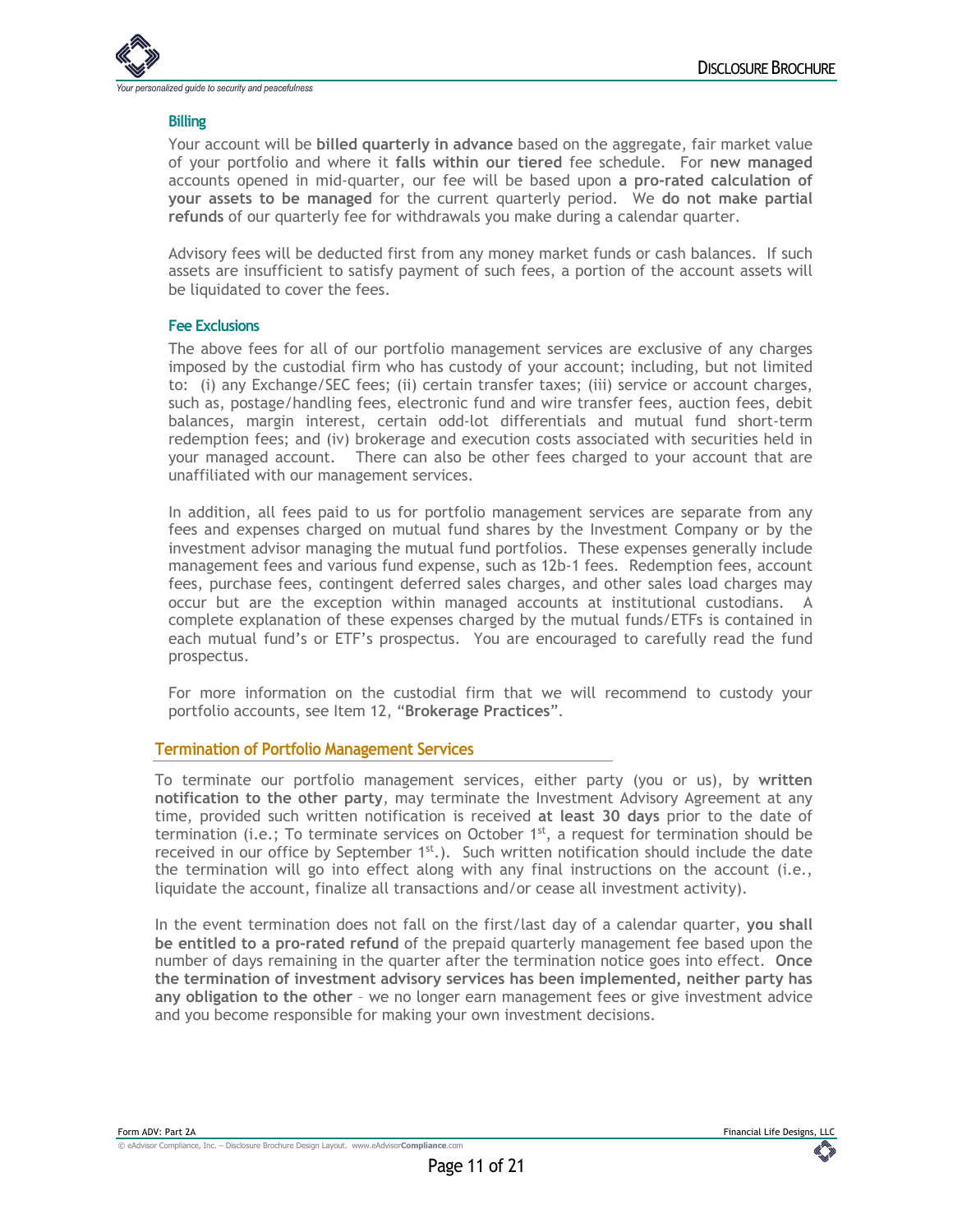

#### **Billing**

Your account will be **billed quarterly in advance** based on the aggregate, fair market value of your portfolio and where it **falls within our tiered** fee schedule. For **new managed** accounts opened in mid-quarter, our fee will be based upon **a pro-rated calculation of your assets to be managed** for the current quarterly period. We **do not make partial refunds** of our quarterly fee for withdrawals you make during a calendar quarter.

Advisory fees will be deducted first from any money market funds or cash balances. If such assets are insufficient to satisfy payment of such fees, a portion of the account assets will be liquidated to cover the fees.

#### **Fee Exclusions**

The above fees for all of our portfolio management services are exclusive of any charges imposed by the custodial firm who has custody of your account; including, but not limited to: (i) any Exchange/SEC fees; (ii) certain transfer taxes; (iii) service or account charges, such as, postage/handling fees, electronic fund and wire transfer fees, auction fees, debit balances, margin interest, certain odd-lot differentials and mutual fund short-term redemption fees; and (iv) brokerage and execution costs associated with securities held in your managed account. There can also be other fees charged to your account that are unaffiliated with our management services.

In addition, all fees paid to us for portfolio management services are separate from any fees and expenses charged on mutual fund shares by the Investment Company or by the investment advisor managing the mutual fund portfolios. These expenses generally include management fees and various fund expense, such as 12b-1 fees. Redemption fees, account fees, purchase fees, contingent deferred sales charges, and other sales load charges may occur but are the exception within managed accounts at institutional custodians. A complete explanation of these expenses charged by the mutual funds/ETFs is contained in each mutual fund's or ETF's prospectus. You are encouraged to carefully read the fund prospectus.

For more information on the custodial firm that we will recommend to custody your portfolio accounts, see Item 12, "**Brokerage Practices**".

#### **Termination of Portfolio Management Services**

To terminate our portfolio management services, either party (you or us), by **written notification to the other party**, may terminate the Investment Advisory Agreement at any time, provided such written notification is received **at least 30 days** prior to the date of termination (i.e.; To terminate services on October  $1<sup>st</sup>$ , a request for termination should be received in our office by September  $1<sup>st</sup>$ .). Such written notification should include the date the termination will go into effect along with any final instructions on the account (i.e., liquidate the account, finalize all transactions and/or cease all investment activity).

In the event termination does not fall on the first/last day of a calendar quarter, **you shall be entitled to a pro-rated refund** of the prepaid quarterly management fee based upon the number of days remaining in the quarter after the termination notice goes into effect. **Once the termination of investment advisory services has been implemented, neither party has any obligation to the other** – we no longer earn management fees or give investment advice and you become responsible for making your own investment decisions.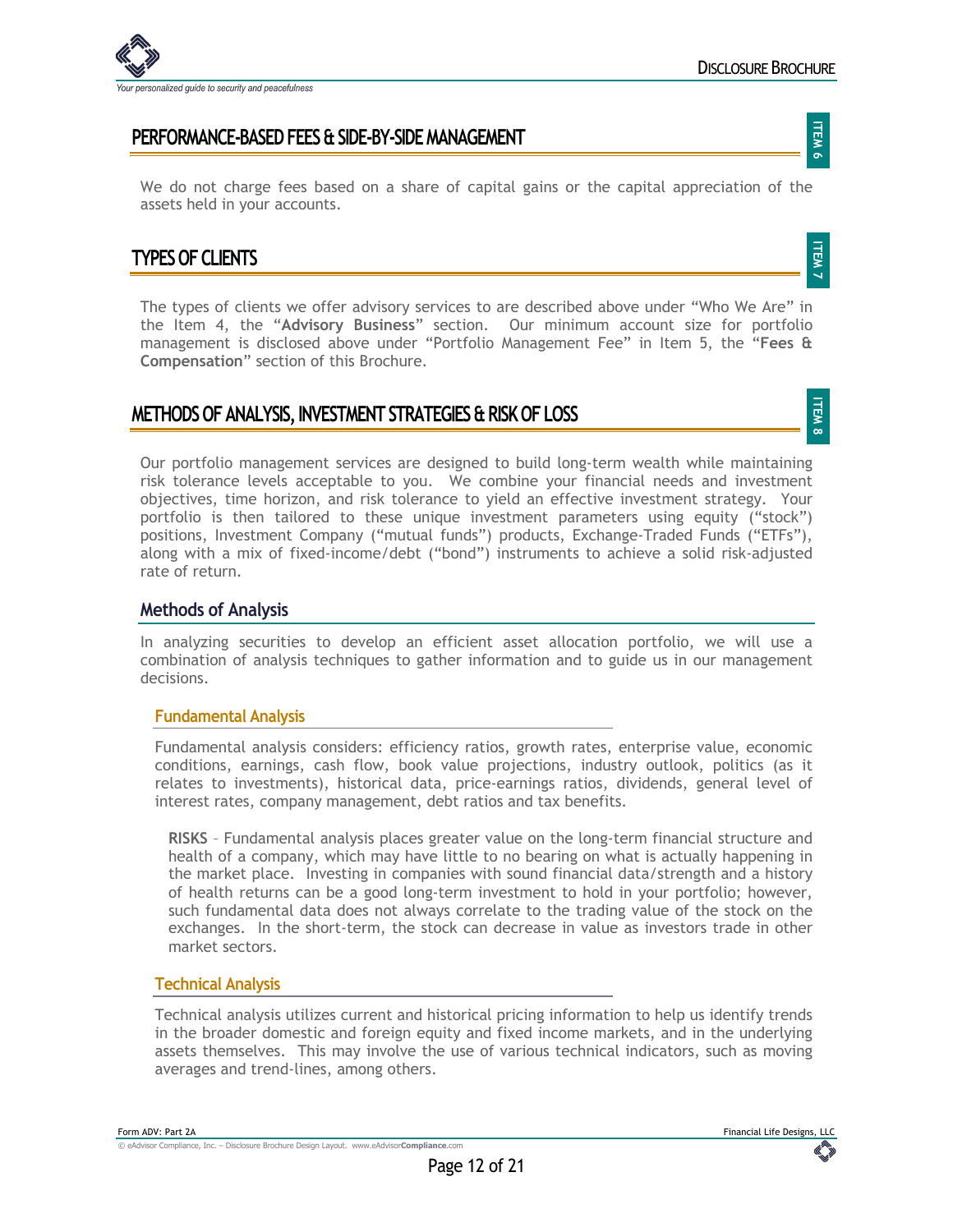

**ITEM 7**

**ITEM 8**

## **PERFORMANCE-BASED FEES & SIDE-BY-SIDE MANAGEMENT**

We do not charge fees based on a share of capital gains or the capital appreciation of the assets held in your accounts.

## **TYPES OF CLIENTS**

The types of clients we offer advisory services to are described above under "Who We Are" in the Item 4, the "**Advisory Business**" section. Our minimum account size for portfolio management is disclosed above under "Portfolio Management Fee" in Item 5, the "**Fees & Compensation**" section of this Brochure.

## **METHODS OF ANALYSIS, INVESTMENT STRATEGIES & RISK OF LOSS**

Our portfolio management services are designed to build long-term wealth while maintaining risk tolerance levels acceptable to you. We combine your financial needs and investment objectives, time horizon, and risk tolerance to yield an effective investment strategy. Your portfolio is then tailored to these unique investment parameters using equity ("stock") positions, Investment Company ("mutual funds") products, Exchange-Traded Funds ("ETFs"), along with a mix of fixed-income/debt ("bond") instruments to achieve a solid risk-adjusted rate of return.

#### **Methods of Analysis**

In analyzing securities to develop an efficient asset allocation portfolio, we will use a combination of analysis techniques to gather information and to guide us in our management decisions.

#### **Fundamental Analysis**

Fundamental analysis considers: efficiency ratios, growth rates, enterprise value, economic conditions, earnings, cash flow, book value projections, industry outlook, politics (as it relates to investments), historical data, price-earnings ratios, dividends, general level of interest rates, company management, debt ratios and tax benefits.

**RISKS** – Fundamental analysis places greater value on the long-term financial structure and health of a company, which may have little to no bearing on what is actually happening in the market place. Investing in companies with sound financial data/strength and a history of health returns can be a good long-term investment to hold in your portfolio; however, such fundamental data does not always correlate to the trading value of the stock on the exchanges. In the short-term, the stock can decrease in value as investors trade in other market sectors.

#### **Technical Analysis**

Technical analysis utilizes current and historical pricing information to help us identify trends in the broader domestic and foreign equity and fixed income markets, and in the underlying assets themselves. This may involve the use of various technical indicators, such as moving averages and trend-lines, among others.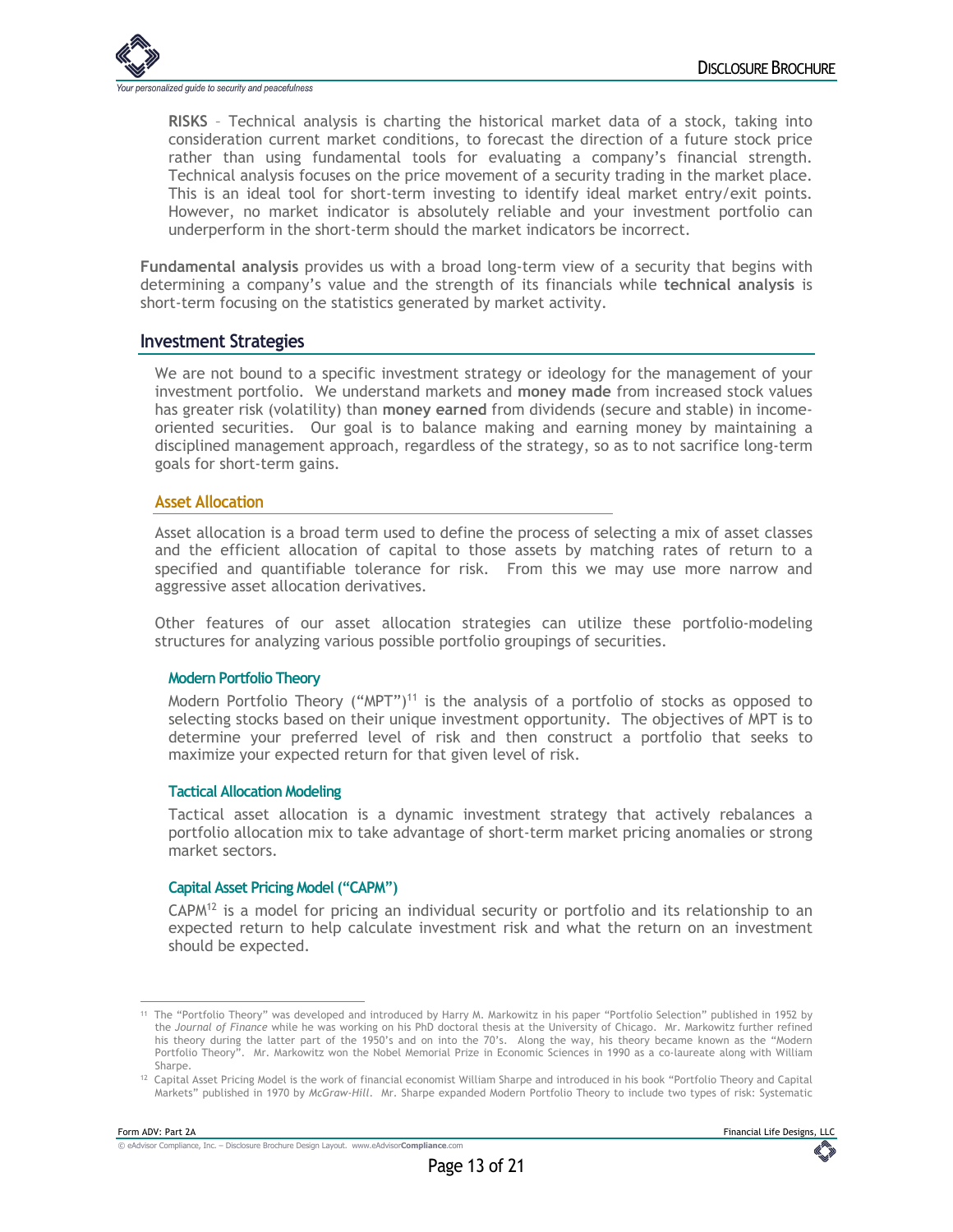

**RISKS** – Technical analysis is charting the historical market data of a stock, taking into consideration current market conditions, to forecast the direction of a future stock price rather than using fundamental tools for evaluating a company's financial strength. Technical analysis focuses on the price movement of a security trading in the market place. This is an ideal tool for short-term investing to identify ideal market entry/exit points. However, no market indicator is absolutely reliable and your investment portfolio can underperform in the short-term should the market indicators be incorrect.

**Fundamental analysis** provides us with a broad long-term view of a security that begins with determining a company's value and the strength of its financials while **technical analysis** is short-term focusing on the statistics generated by market activity.

#### **Investment Strategies**

We are not bound to a specific investment strategy or ideology for the management of your investment portfolio. We understand markets and **money made** from increased stock values has greater risk (volatility) than **money earned** from dividends (secure and stable) in incomeoriented securities. Our goal is to balance making and earning money by maintaining a disciplined management approach, regardless of the strategy, so as to not sacrifice long-term goals for short-term gains.

#### **Asset Allocation**

Asset allocation is a broad term used to define the process of selecting a mix of asset classes and the efficient allocation of capital to those assets by matching rates of return to a specified and quantifiable tolerance for risk. From this we may use more narrow and aggressive asset allocation derivatives.

Other features of our asset allocation strategies can utilize these portfolio-modeling structures for analyzing various possible portfolio groupings of securities.

#### **Modern Portfolio Theory**

Modern Portfolio Theory ("MPT")<sup>11</sup> is the analysis of a portfolio of stocks as opposed to selecting stocks based on their unique investment opportunity. The objectives of MPT is to determine your preferred level of risk and then construct a portfolio that seeks to maximize your expected return for that given level of risk.

#### **Tactical Allocation Modeling**

Tactical asset allocation is a dynamic investment strategy that actively rebalances a portfolio allocation mix to take advantage of short-term market pricing anomalies or strong market sectors.

#### **Capital Asset Pricing Model ("CAPM")**

 $CAPM<sup>12</sup>$  is a model for pricing an individual security or portfolio and its relationship to an expected return to help calculate investment risk and what the return on an investment should be expected.

<sup>11</sup> The "Portfolio Theory" was developed and introduced by Harry M. Markowitz in his paper "Portfolio Selection" published in 1952 by the *Journal of Finance* while he was working on his PhD doctoral thesis at the University of Chicago. Mr. Markowitz further refined his theory during the latter part of the 1950's and on into the 70's. Along the way, his theory became known as the "Modern Portfolio Theory". Mr. Markowitz won the Nobel Memorial Prize in Economic Sciences in 1990 as a co-laureate along with William Sharpe.

<sup>12</sup> Capital Asset Pricing Model is the work of financial economist William Sharpe and introduced in his book "Portfolio Theory and Capital Markets" published in 1970 by *McGraw-Hill*. Mr. Sharpe expanded Modern Portfolio Theory to include two types of risk: Systematic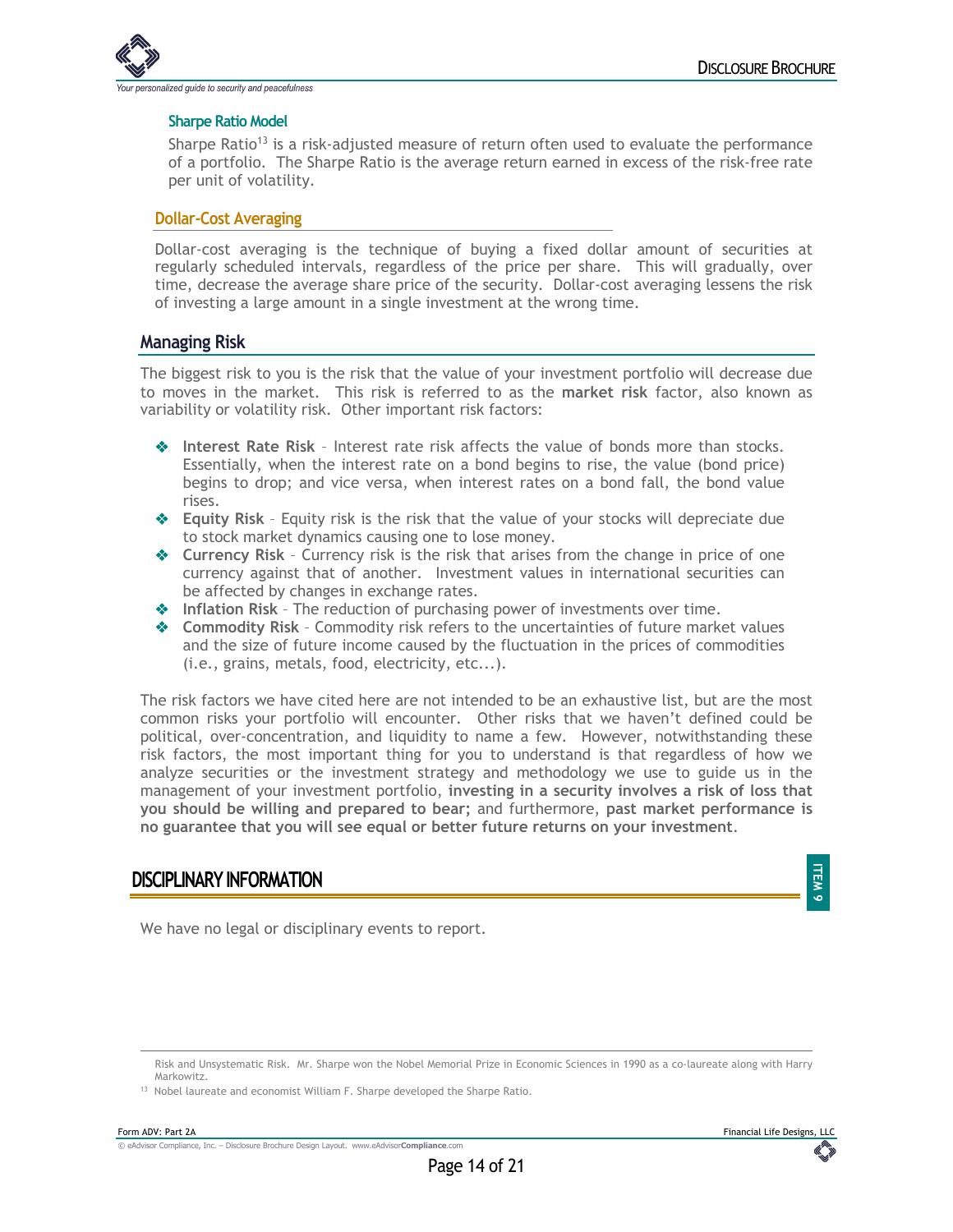

#### **Sharpe Ratio Model**

Sharpe Ratio<sup>13</sup> is a risk-adjusted measure of return often used to evaluate the performance of a portfolio. The Sharpe Ratio is the average return earned in excess of the risk-free rate per unit of volatility.

#### **Dollar-Cost Averaging**

Dollar-cost averaging is the technique of buying a fixed dollar amount of securities at regularly scheduled intervals, regardless of the price per share. This will gradually, over time, decrease the average share price of the security. Dollar-cost averaging lessens the risk of investing a large amount in a single investment at the wrong time.

#### **Managing Risk**

The biggest risk to you is the risk that the value of your investment portfolio will decrease due to moves in the market. This risk is referred to as the **market risk** factor, also known as variability or volatility risk. Other important risk factors:

- $\bullet$  Interest Rate Risk Interest rate risk affects the value of bonds more than stocks. Essentially, when the interest rate on a bond begins to rise, the value (bond price) begins to drop; and vice versa, when interest rates on a bond fall, the bond value rises.
- **Equity Risk** Equity risk is the risk that the value of your stocks will depreciate due to stock market dynamics causing one to lose money.
- $\triangleleft$  Currency Risk Currency risk is the risk that arises from the change in price of one currency against that of another. Investment values in international securities can be affected by changes in exchange rates.
- $\triangle$  Inflation Risk The reduction of purchasing power of investments over time.
- **EXECOMMODITY Risk** Commodity risk refers to the uncertainties of future market values and the size of future income caused by the fluctuation in the prices of commodities (i.e., grains, metals, food, electricity, etc...).

The risk factors we have cited here are not intended to be an exhaustive list, but are the most common risks your portfolio will encounter. Other risks that we haven't defined could be political, over-concentration, and liquidity to name a few. However, notwithstanding these risk factors, the most important thing for you to understand is that regardless of how we analyze securities or the investment strategy and methodology we use to guide us in the management of your investment portfolio, **investing in a security involves a risk of loss that you should be willing and prepared to bear;** and furthermore, **past market performance is no guarantee that you will see equal or better future returns on your investment**.

## **DISCIPLINARY INFORMATION**

We have no legal or disciplinary events to report.



**ITEM 9**

Risk and Unsystematic Risk. Mr. Sharpe won the Nobel Memorial Prize in Economic Sciences in 1990 as a co-laureate along with Harry Markowitz.

<sup>13</sup> Nobel laureate and economist William F. Sharpe developed the Sharpe Ratio.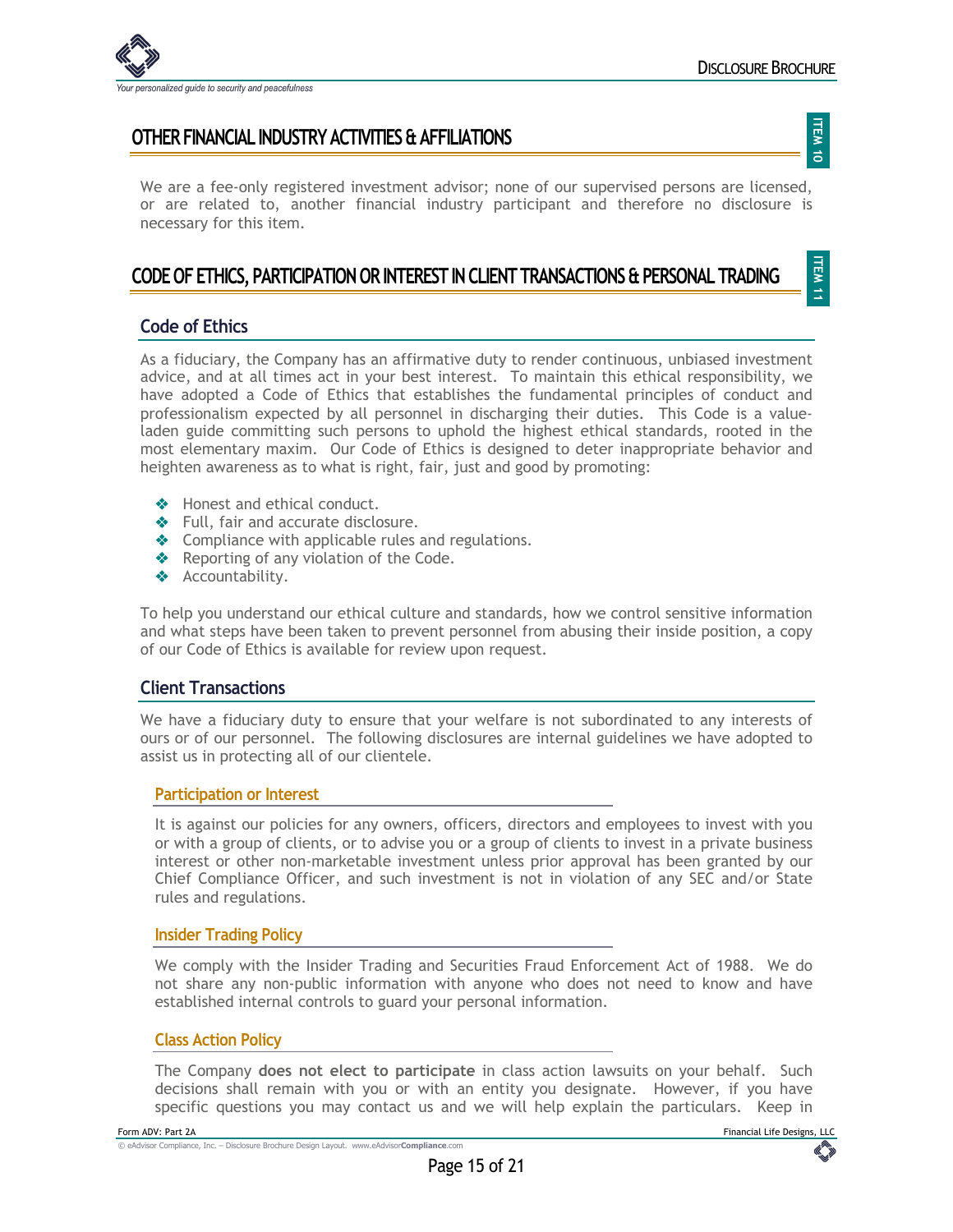

**ITEM 11**

## **OTHER FINANCIAL INDUSTRY ACTIVITIES & AFFILIATIONS**

We are a fee-only registered investment advisor; none of our supervised persons are licensed, or are related to, another financial industry participant and therefore no disclosure is necessary for this item.

## **CODE OF ETHICS, PARTICIPATION OR INTEREST IN CLIENT TRANSACTIONS & PERSONAL TRADING**

#### **Code of Ethics**

As a fiduciary, the Company has an affirmative duty to render continuous, unbiased investment advice, and at all times act in your best interest. To maintain this ethical responsibility, we have adopted a Code of Ethics that establishes the fundamental principles of conduct and professionalism expected by all personnel in discharging their duties. This Code is a valueladen guide committing such persons to uphold the highest ethical standards, rooted in the most elementary maxim. Our Code of Ethics is designed to deter inappropriate behavior and heighten awareness as to what is right, fair, just and good by promoting:

- $\triangle$  Honest and ethical conduct.
- $\triangleleft$  Full, fair and accurate disclosure.
- $\triangleleft$  Compliance with applicable rules and regulations.
- $\triangle$  Reporting of any violation of the Code.
- ◆ Accountability.

To help you understand our ethical culture and standards, how we control sensitive information and what steps have been taken to prevent personnel from abusing their inside position, a copy of our Code of Ethics is available for review upon request.

#### **Client Transactions**

We have a fiduciary duty to ensure that your welfare is not subordinated to any interests of ours or of our personnel. The following disclosures are internal guidelines we have adopted to assist us in protecting all of our clientele.

#### **Participation or Interest**

It is against our policies for any owners, officers, directors and employees to invest with you or with a group of clients, or to advise you or a group of clients to invest in a private business interest or other non-marketable investment unless prior approval has been granted by our Chief Compliance Officer, and such investment is not in violation of any SEC and/or State rules and regulations.

#### **Insider Trading Policy**

We comply with the Insider Trading and Securities Fraud Enforcement Act of 1988. We do not share any non-public information with anyone who does not need to know and have established internal controls to guard your personal information.

#### **Class Action Policy**

The Company **does not elect to participate** in class action lawsuits on your behalf. Such decisions shall remain with you or with an entity you designate. However, if you have specific questions you may contact us and we will help explain the particulars. Keep in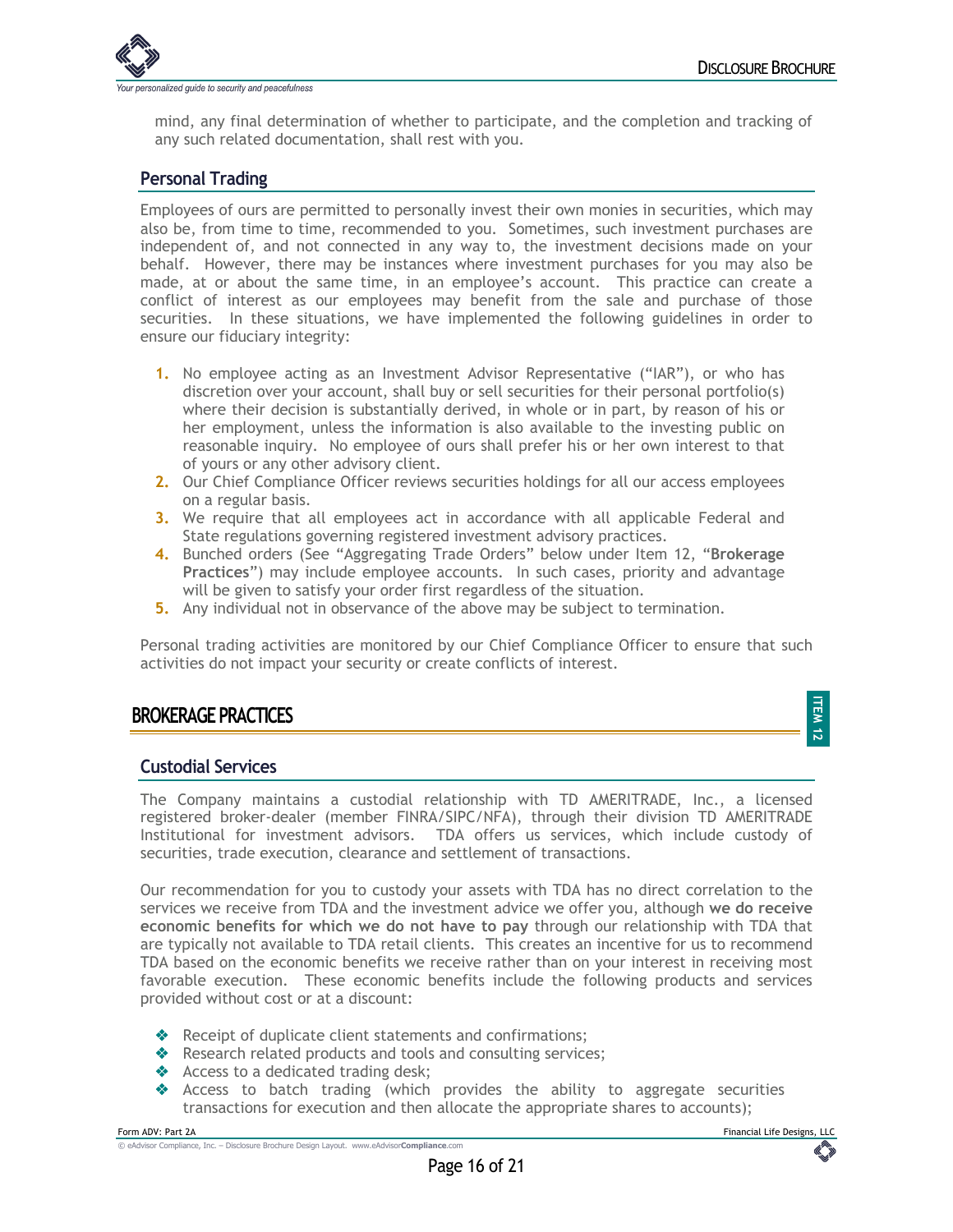

mind, any final determination of whether to participate, and the completion and tracking of any such related documentation, shall rest with you.

## **Personal Trading**

Employees of ours are permitted to personally invest their own monies in securities, which may also be, from time to time, recommended to you. Sometimes, such investment purchases are independent of, and not connected in any way to, the investment decisions made on your behalf. However, there may be instances where investment purchases for you may also be made, at or about the same time, in an employee's account. This practice can create a conflict of interest as our employees may benefit from the sale and purchase of those securities. In these situations, we have implemented the following guidelines in order to ensure our fiduciary integrity:

- **1.** No employee acting as an Investment Advisor Representative ("IAR"), or who has discretion over your account, shall buy or sell securities for their personal portfolio(s) where their decision is substantially derived, in whole or in part, by reason of his or her employment, unless the information is also available to the investing public on reasonable inquiry. No employee of ours shall prefer his or her own interest to that of yours or any other advisory client.
- **2.** Our Chief Compliance Officer reviews securities holdings for all our access employees on a regular basis.
- **3.** We require that all employees act in accordance with all applicable Federal and State regulations governing registered investment advisory practices.
- **4.** Bunched orders (See "Aggregating Trade Orders" below under Item 12, "**Brokerage Practices**") may include employee accounts. In such cases, priority and advantage will be given to satisfy your order first regardless of the situation.
- **5.** Any individual not in observance of the above may be subject to termination.

Personal trading activities are monitored by our Chief Compliance Officer to ensure that such activities do not impact your security or create conflicts of interest.

## **BROKERAGE PRACTICES**

#### **Custodial Services**

The Company maintains a custodial relationship with TD AMERITRADE, Inc., a licensed registered broker-dealer (member FINRA/SIPC/NFA), through their division TD AMERITRADE Institutional for investment advisors. TDA offers us services, which include custody of securities, trade execution, clearance and settlement of transactions.

Our recommendation for you to custody your assets with TDA has no direct correlation to the services we receive from TDA and the investment advice we offer you, although **we do receive economic benefits for which we do not have to pay** through our relationship with TDA that are typically not available to TDA retail clients. This creates an incentive for us to recommend TDA based on the economic benefits we receive rather than on your interest in receiving most favorable execution. These economic benefits include the following products and services provided without cost or at a discount:

- \* Receipt of duplicate client statements and confirmations;
- \* Research related products and tools and consulting services;
- $\triangleleft$  Access to a dedicated trading desk;
- $\triangleleft$  Access to batch trading (which provides the ability to aggregate securities transactions for execution and then allocate the appropriate shares to accounts);

**ITEM 12**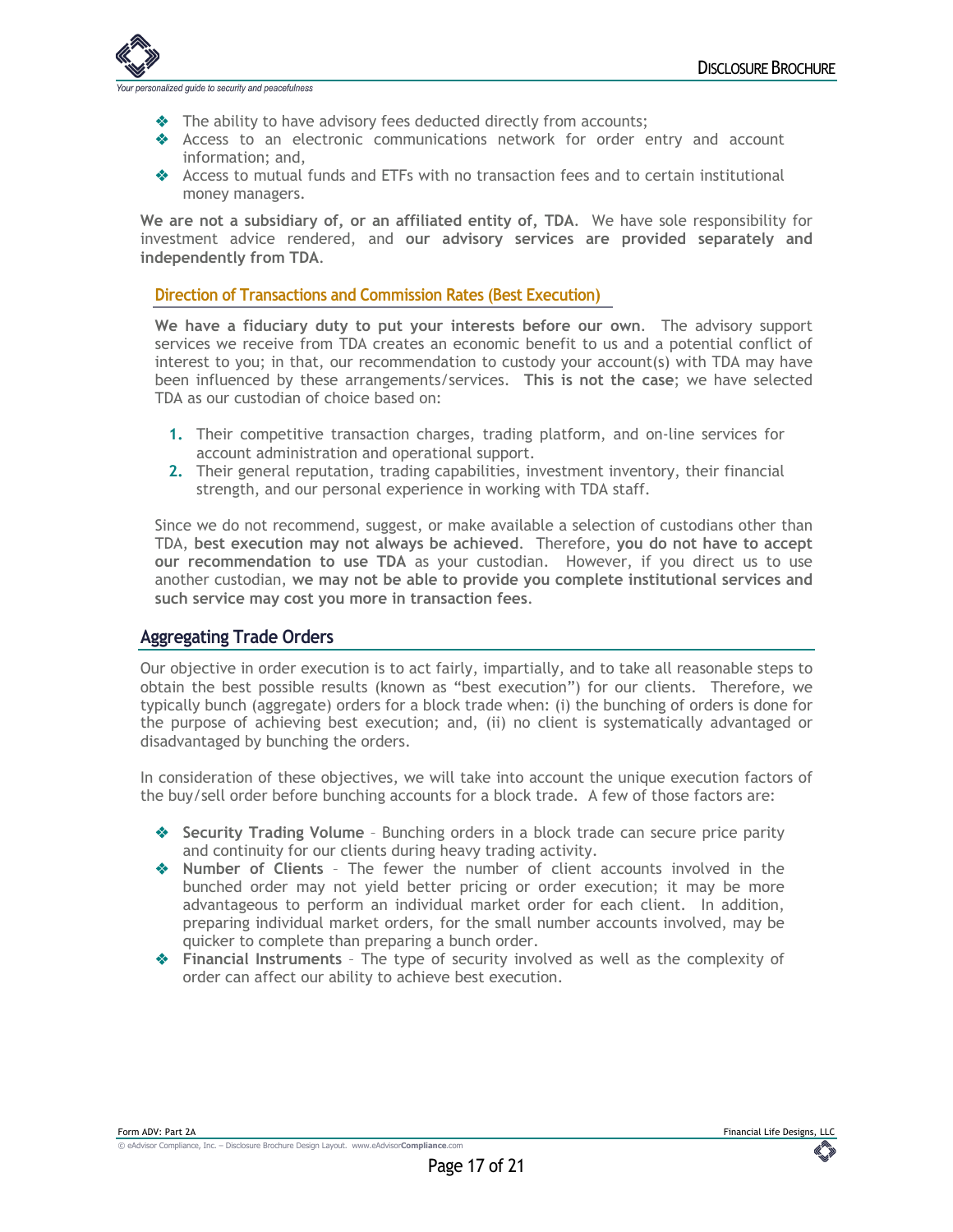

- Ine ability to have advisory fees deducted directly from accounts;
- v Access to an electronic communications network for order entry and account information; and,
- Access to mutual funds and ETFs with no transaction fees and to certain institutional money managers.

**We are not a subsidiary of, or an affiliated entity of, TDA**. We have sole responsibility for investment advice rendered, and **our advisory services are provided separately and independently from TDA**.

#### **Direction of Transactions and Commission Rates (Best Execution)**

**We have a fiduciary duty to put your interests before our own**. The advisory support services we receive from TDA creates an economic benefit to us and a potential conflict of interest to you; in that, our recommendation to custody your account(s) with TDA may have been influenced by these arrangements/services. **This is not the case**; we have selected TDA as our custodian of choice based on:

- **1.** Their competitive transaction charges, trading platform, and on-line services for account administration and operational support.
- **2.** Their general reputation, trading capabilities, investment inventory, their financial strength, and our personal experience in working with TDA staff.

Since we do not recommend, suggest, or make available a selection of custodians other than TDA, **best execution may not always be achieved**. Therefore, **you do not have to accept our recommendation to use TDA** as your custodian. However, if you direct us to use another custodian, **we may not be able to provide you complete institutional services and such service may cost you more in transaction fees**.

#### **Aggregating Trade Orders**

Our objective in order execution is to act fairly, impartially, and to take all reasonable steps to obtain the best possible results (known as "best execution") for our clients. Therefore, we typically bunch (aggregate) orders for a block trade when: (i) the bunching of orders is done for the purpose of achieving best execution; and, (ii) no client is systematically advantaged or disadvantaged by bunching the orders.

In consideration of these objectives, we will take into account the unique execution factors of the buy/sell order before bunching accounts for a block trade. A few of those factors are:

- **◆ Security Trading Volume** Bunching orders in a block trade can secure price parity and continuity for our clients during heavy trading activity.
- $\triangle$  **Number of Clients** The fewer the number of client accounts involved in the bunched order may not yield better pricing or order execution; it may be more advantageous to perform an individual market order for each client. In addition, preparing individual market orders, for the small number accounts involved, may be quicker to complete than preparing a bunch order.
- v **Financial Instruments** The type of security involved as well as the complexity of order can affect our ability to achieve best execution.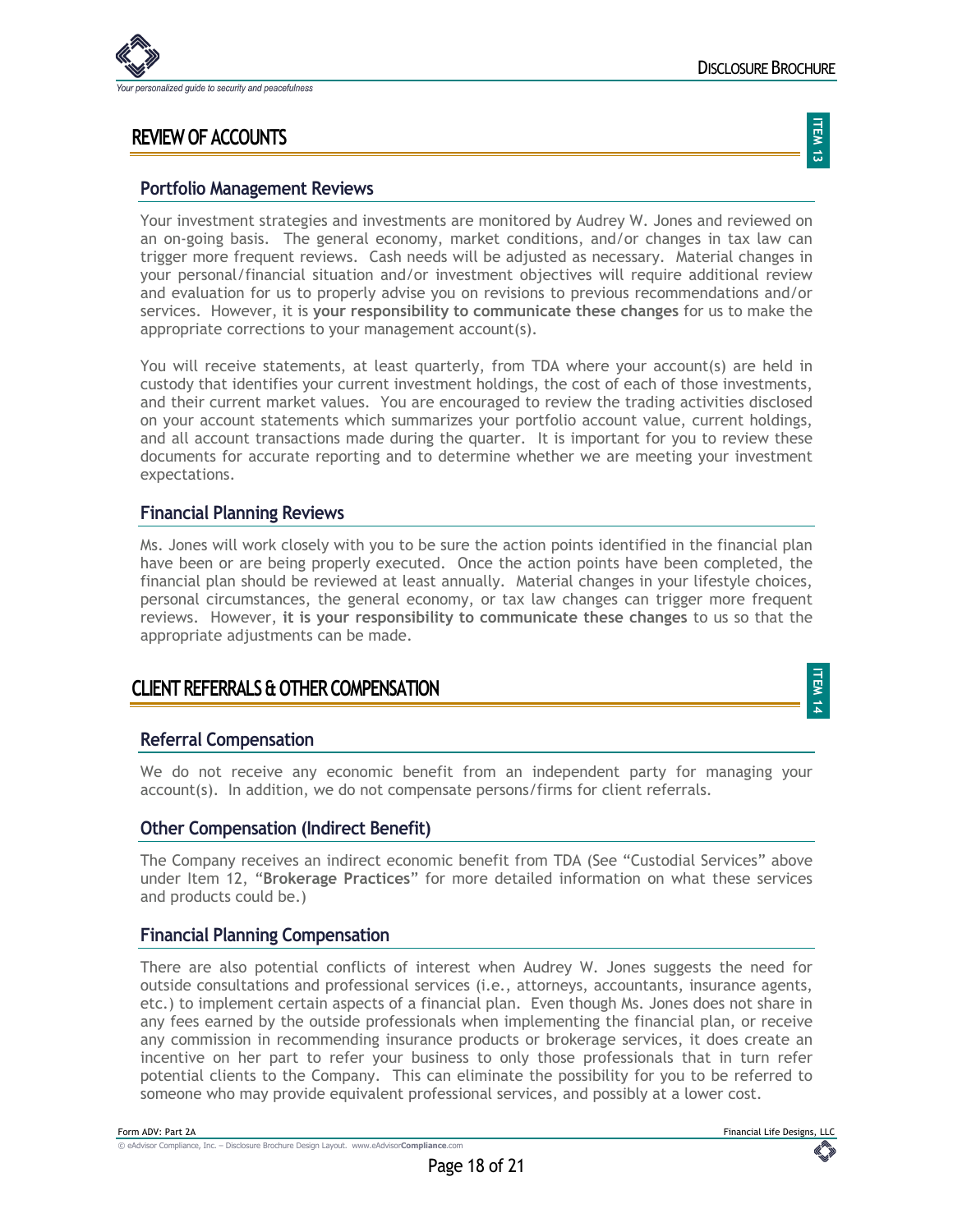

## **REVIEW OF ACCOUNTS**

**ITEM** ن<del>ہ</del>

> **ITEM 14**

#### **Portfolio Management Reviews**

Your investment strategies and investments are monitored by Audrey W. Jones and reviewed on an on-going basis. The general economy, market conditions, and/or changes in tax law can trigger more frequent reviews. Cash needs will be adjusted as necessary. Material changes in your personal/financial situation and/or investment objectives will require additional review and evaluation for us to properly advise you on revisions to previous recommendations and/or services. However, it is **your responsibility to communicate these changes** for us to make the appropriate corrections to your management account(s).

You will receive statements, at least quarterly, from TDA where your account(s) are held in custody that identifies your current investment holdings, the cost of each of those investments, and their current market values. You are encouraged to review the trading activities disclosed on your account statements which summarizes your portfolio account value, current holdings, and all account transactions made during the quarter. It is important for you to review these documents for accurate reporting and to determine whether we are meeting your investment expectations.

#### **Financial Planning Reviews**

Ms. Jones will work closely with you to be sure the action points identified in the financial plan have been or are being properly executed. Once the action points have been completed, the financial plan should be reviewed at least annually. Material changes in your lifestyle choices, personal circumstances, the general economy, or tax law changes can trigger more frequent reviews. However, **it is your responsibility to communicate these changes** to us so that the appropriate adjustments can be made.

## **CLIENT REFERRALS & OTHER COMPENSATION**

#### **Referral Compensation**

We do not receive any economic benefit from an independent party for managing your account(s). In addition, we do not compensate persons/firms for client referrals.

#### **Other Compensation (Indirect Benefit)**

The Company receives an indirect economic benefit from TDA (See "Custodial Services" above under Item 12, "**Brokerage Practices**" for more detailed information on what these services and products could be.)

#### **Financial Planning Compensation**

There are also potential conflicts of interest when Audrey W. Jones suggests the need for outside consultations and professional services (i.e., attorneys, accountants, insurance agents, etc.) to implement certain aspects of a financial plan. Even though Ms. Jones does not share in any fees earned by the outside professionals when implementing the financial plan, or receive any commission in recommending insurance products or brokerage services, it does create an incentive on her part to refer your business to only those professionals that in turn refer potential clients to the Company. This can eliminate the possibility for you to be referred to someone who may provide equivalent professional services, and possibly at a lower cost.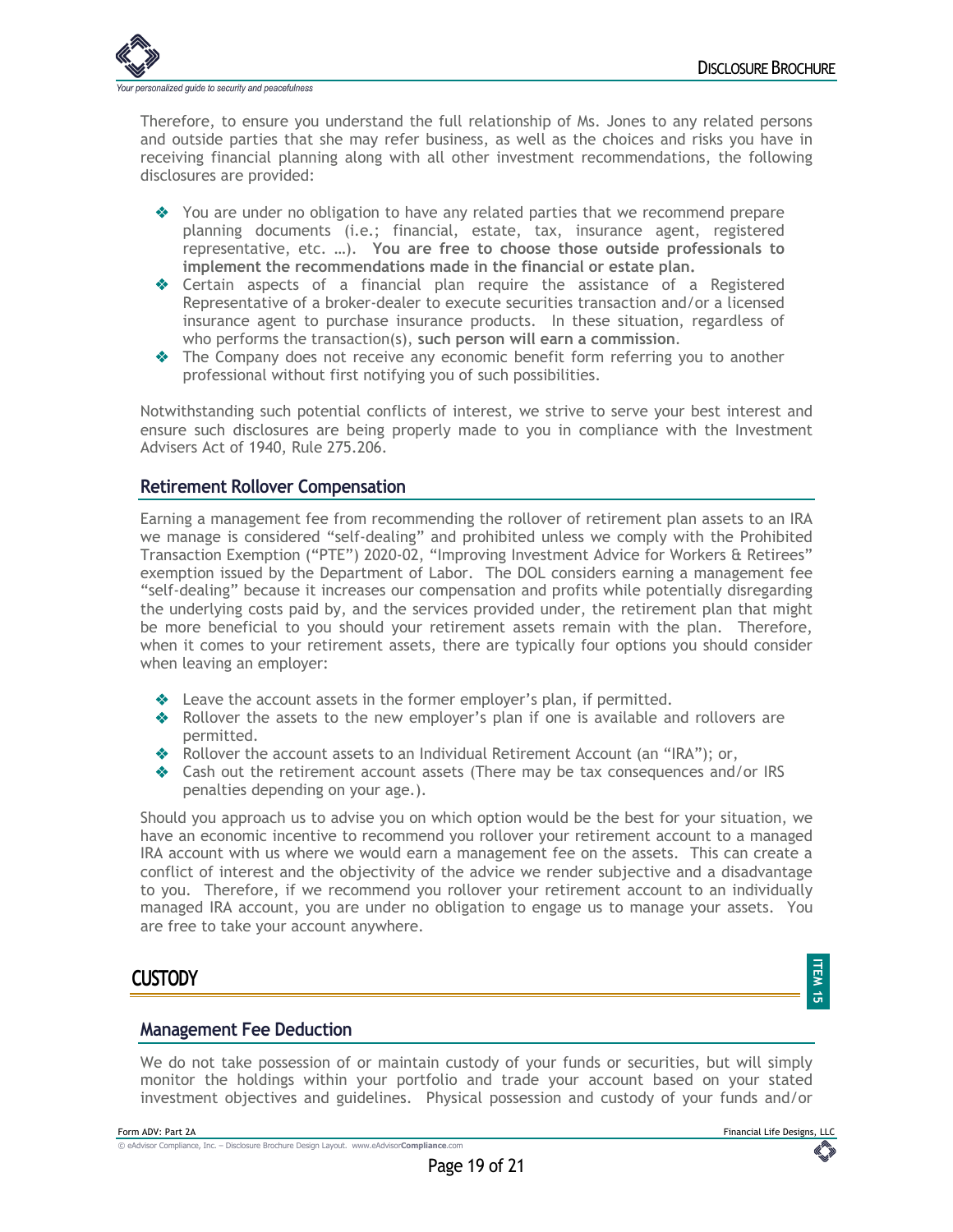

Therefore, to ensure you understand the full relationship of Ms. Jones to any related persons and outside parties that she may refer business, as well as the choices and risks you have in receiving financial planning along with all other investment recommendations, the following disclosures are provided:

- $\bullet$  You are under no obligation to have any related parties that we recommend prepare planning documents (i.e.; financial, estate, tax, insurance agent, registered representative, etc. …). **You are free to choose those outside professionals to implement the recommendations made in the financial or estate plan.**
- $\triangleleft$  Certain aspects of a financial plan require the assistance of a Registered Representative of a broker-dealer to execute securities transaction and/or a licensed insurance agent to purchase insurance products. In these situation, regardless of who performs the transaction(s), **such person will earn a commission**.
- $\triangle$  The Company does not receive any economic benefit form referring you to another professional without first notifying you of such possibilities.

Notwithstanding such potential conflicts of interest, we strive to serve your best interest and ensure such disclosures are being properly made to you in compliance with the Investment Advisers Act of 1940, Rule 275.206.

## **Retirement Rollover Compensation**

Earning a management fee from recommending the rollover of retirement plan assets to an IRA we manage is considered "self-dealing" and prohibited unless we comply with the Prohibited Transaction Exemption ("PTE") 2020-02, "Improving Investment Advice for Workers & Retirees" exemption issued by the Department of Labor. The DOL considers earning a management fee "self-dealing" because it increases our compensation and profits while potentially disregarding the underlying costs paid by, and the services provided under, the retirement plan that might be more beneficial to you should your retirement assets remain with the plan. Therefore, when it comes to your retirement assets, there are typically four options you should consider when leaving an employer:

- $\triangleq$  Leave the account assets in the former employer's plan, if permitted.
- $\triangle$  Rollover the assets to the new employer's plan if one is available and rollovers are permitted.
- \* Rollover the account assets to an Individual Retirement Account (an "IRA"); or,
- $\triangleleft$  Cash out the retirement account assets (There may be tax consequences and/or IRS penalties depending on your age.).

Should you approach us to advise you on which option would be the best for your situation, we have an economic incentive to recommend you rollover your retirement account to a managed IRA account with us where we would earn a management fee on the assets. This can create a conflict of interest and the objectivity of the advice we render subjective and a disadvantage to you. Therefore, if we recommend you rollover your retirement account to an individually managed IRA account, you are under no obligation to engage us to manage your assets. You are free to take your account anywhere.

## **CUSTODY**

## **ITEM** <u>ជា</u>

#### **Management Fee Deduction**

We do not take possession of or maintain custody of your funds or securities, but will simply monitor the holdings within your portfolio and trade your account based on your stated investment objectives and guidelines. Physical possession and custody of your funds and/or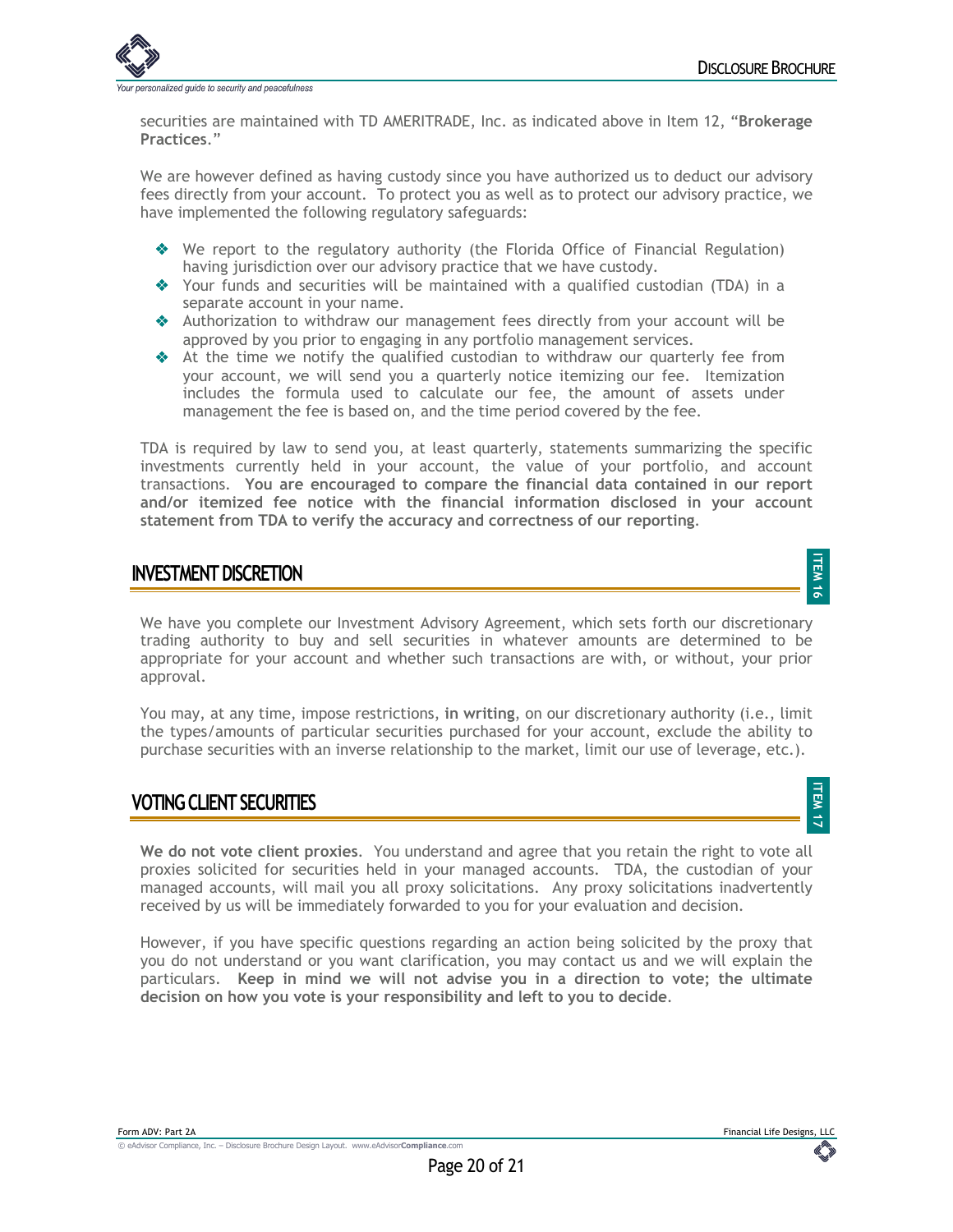**ITEM 17**



securities are maintained with TD AMERITRADE, Inc. as indicated above in Item 12, "**Brokerage Practices**."

We are however defined as having custody since you have authorized us to deduct our advisory fees directly from your account. To protect you as well as to protect our advisory practice, we have implemented the following regulatory safeguards:

- ◆ We report to the regulatory authority (the Florida Office of Financial Regulation) having jurisdiction over our advisory practice that we have custody.
- $\triangleq$  Your funds and securities will be maintained with a qualified custodian (TDA) in a separate account in your name.
- v Authorization to withdraw our management fees directly from your account will be approved by you prior to engaging in any portfolio management services.
- $\triangle$  At the time we notify the qualified custodian to withdraw our quarterly fee from your account, we will send you a quarterly notice itemizing our fee. Itemization includes the formula used to calculate our fee, the amount of assets under management the fee is based on, and the time period covered by the fee.

TDA is required by law to send you, at least quarterly, statements summarizing the specific investments currently held in your account, the value of your portfolio, and account transactions. **You are encouraged to compare the financial data contained in our report and/or itemized fee notice with the financial information disclosed in your account statement from TDA to verify the accuracy and correctness of our reporting**.

## **INVESTMENT DISCRETION**

We have you complete our Investment Advisory Agreement, which sets forth our discretionary trading authority to buy and sell securities in whatever amounts are determined to be appropriate for your account and whether such transactions are with, or without, your prior approval.

You may, at any time, impose restrictions, **in writing**, on our discretionary authority (i.e., limit the types/amounts of particular securities purchased for your account, exclude the ability to purchase securities with an inverse relationship to the market, limit our use of leverage, etc.).

## **VOTING CLIENT SECURITIES**

**We do not vote client proxies**. You understand and agree that you retain the right to vote all proxies solicited for securities held in your managed accounts. TDA, the custodian of your managed accounts, will mail you all proxy solicitations. Any proxy solicitations inadvertently received by us will be immediately forwarded to you for your evaluation and decision.

However, if you have specific questions regarding an action being solicited by the proxy that you do not understand or you want clarification, you may contact us and we will explain the particulars. **Keep in mind we will not advise you in a direction to vote; the ultimate decision on how you vote is your responsibility and left to you to decide**.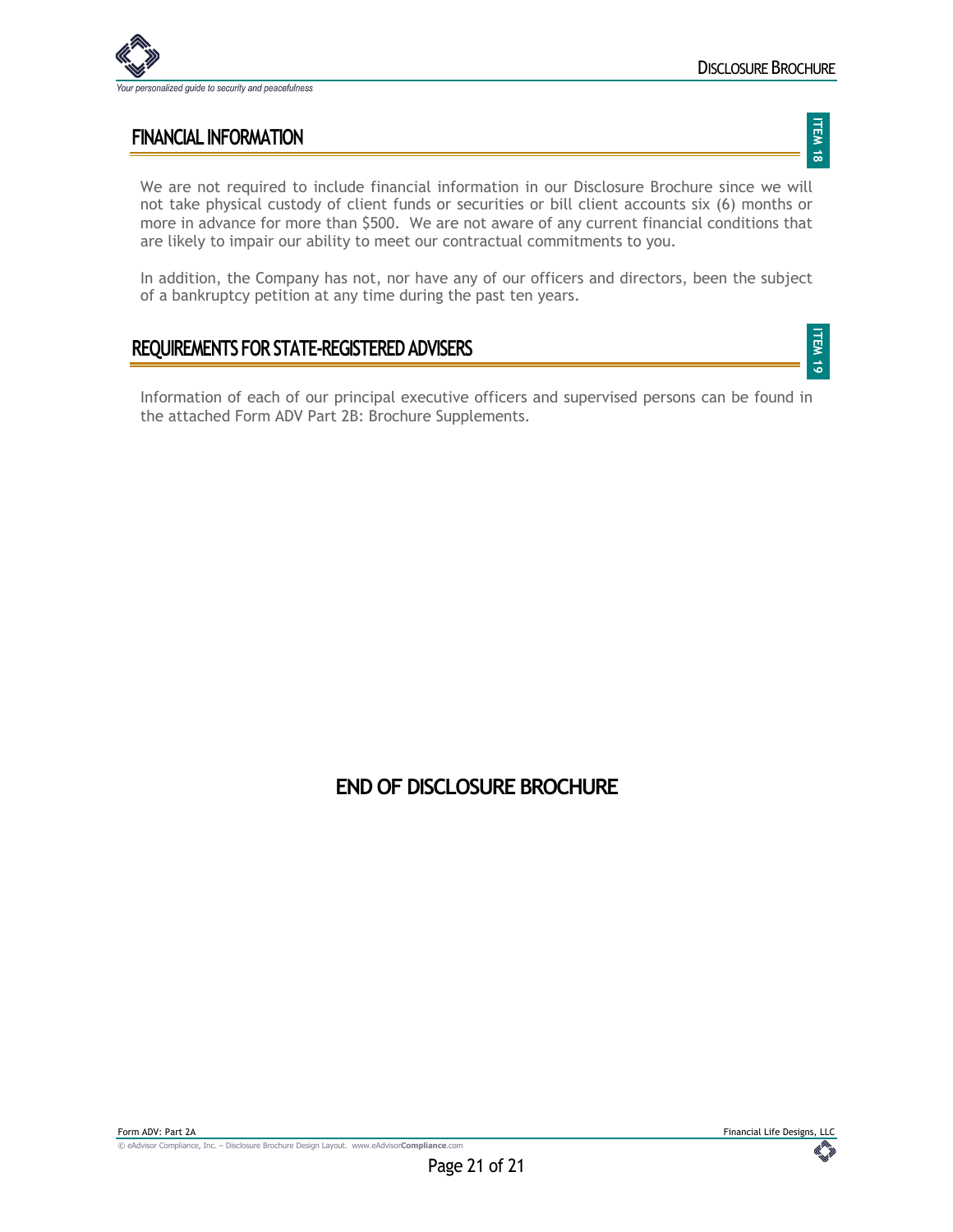

**ITEM 19**

## **FINANCIAL INFORMATION**

We are not required to include financial information in our Disclosure Brochure since we will not take physical custody of client funds or securities or bill client accounts six (6) months or more in advance for more than \$500. We are not aware of any current financial conditions that are likely to impair our ability to meet our contractual commitments to you.

In addition, the Company has not, nor have any of our officers and directors, been the subject of a bankruptcy petition at any time during the past ten years.

## **REQUIREMENTS FOR STATE-REGISTERED ADVISERS**

Information of each of our principal executive officers and supervised persons can be found in the attached Form ADV Part 2B: Brochure Supplements.

## **END OF DISCLOSURE BROCHURE**